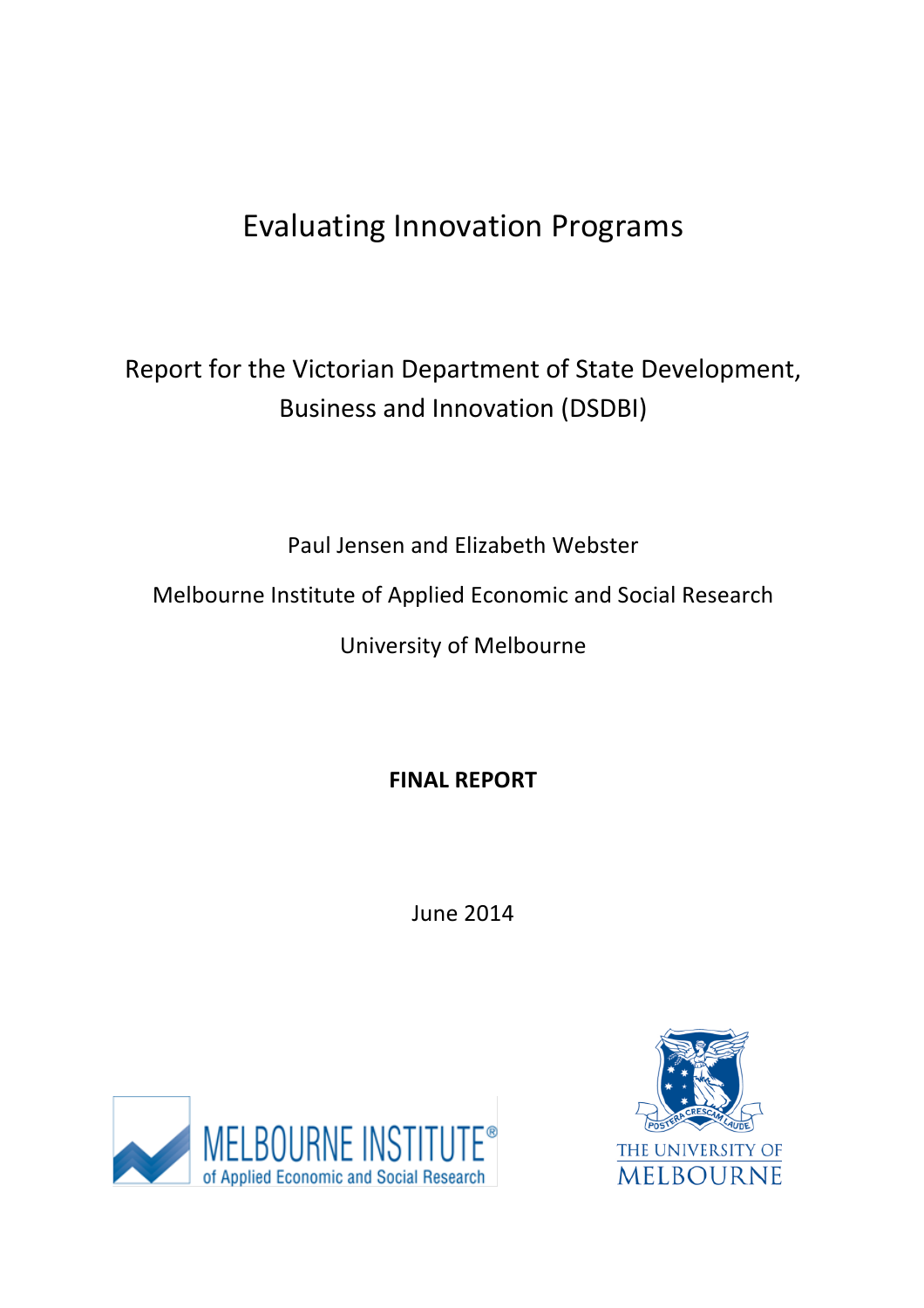# Evaluating Innovation Programs

# Report for the Victorian Department of State Development, Business and Innovation (DSDBI)

Paul Jensen and Elizabeth Webster

Melbourne Institute of Applied Economic and Social Research

University of Melbourne

**FINAL REPORT**

June 2014



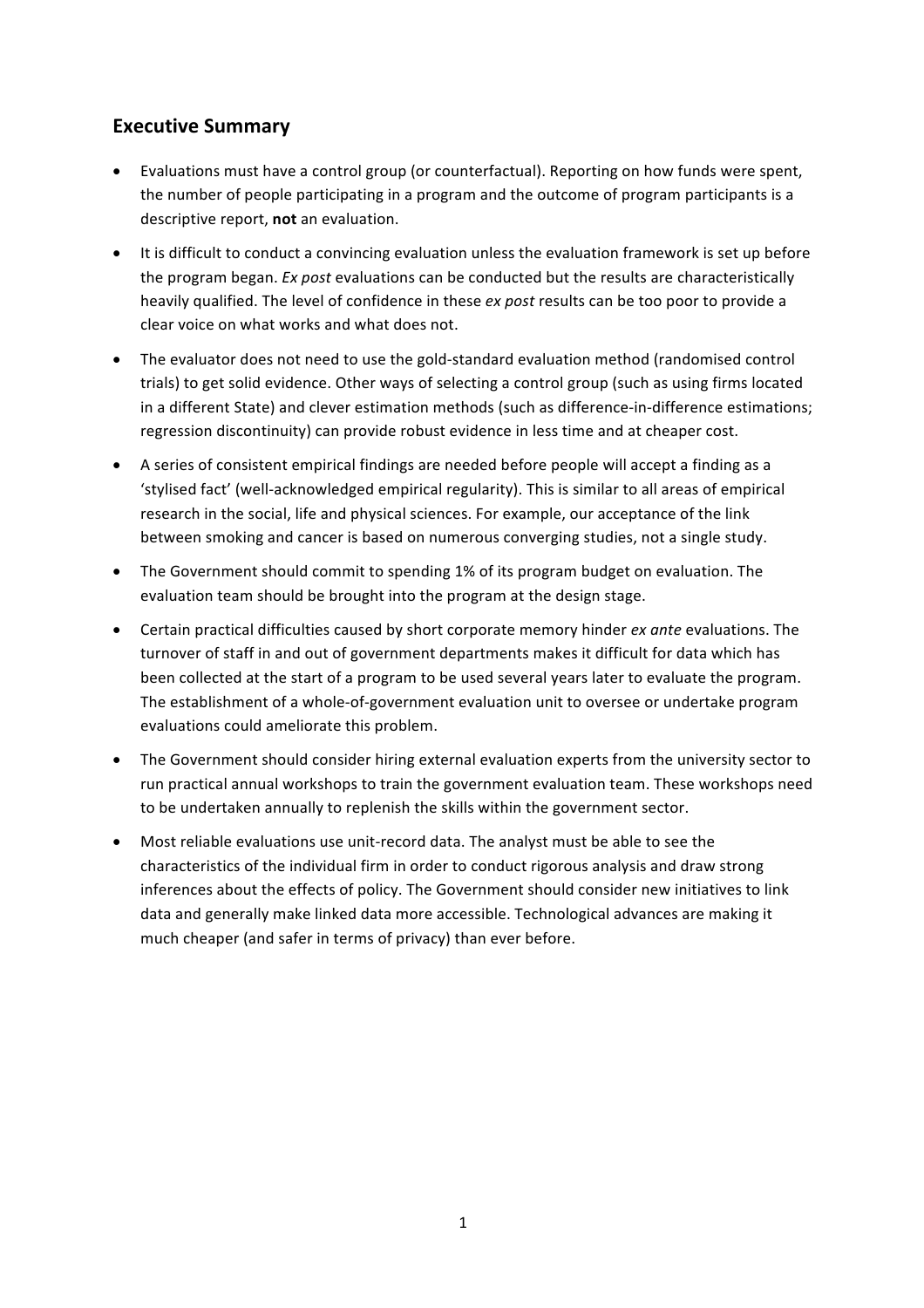# **Executive Summary**

- Evaluations must have a control group (or counterfactual). Reporting on how funds were spent, the number of people participating in a program and the outcome of program participants is a descriptive report, not an evaluation.
- It is difficult to conduct a convincing evaluation unless the evaluation framework is set up before the program began. *Ex post* evaluations can be conducted but the results are characteristically heavily qualified. The level of confidence in these *ex post* results can be too poor to provide a clear voice on what works and what does not.
- The evaluator does not need to use the gold-standard evaluation method (randomised control trials) to get solid evidence. Other ways of selecting a control group (such as using firms located in a different State) and clever estimation methods (such as difference-in-difference estimations; regression discontinuity) can provide robust evidence in less time and at cheaper cost.
- A series of consistent empirical findings are needed before people will accept a finding as a 'stylised fact' (well-acknowledged empirical regularity). This is similar to all areas of empirical research in the social, life and physical sciences. For example, our acceptance of the link between smoking and cancer is based on numerous converging studies, not a single study.
- The Government should commit to spending 1% of its program budget on evaluation. The evaluation team should be brought into the program at the design stage.
- Certain practical difficulties caused by short corporate memory hinder *ex ante* evaluations. The turnover of staff in and out of government departments makes it difficult for data which has been collected at the start of a program to be used several years later to evaluate the program. The establishment of a whole-of-government evaluation unit to oversee or undertake program evaluations could ameliorate this problem.
- The Government should consider hiring external evaluation experts from the university sector to run practical annual workshops to train the government evaluation team. These workshops need to be undertaken annually to replenish the skills within the government sector.
- Most reliable evaluations use unit-record data. The analyst must be able to see the characteristics of the individual firm in order to conduct rigorous analysis and draw strong inferences about the effects of policy. The Government should consider new initiatives to link data and generally make linked data more accessible. Technological advances are making it much cheaper (and safer in terms of privacy) than ever before.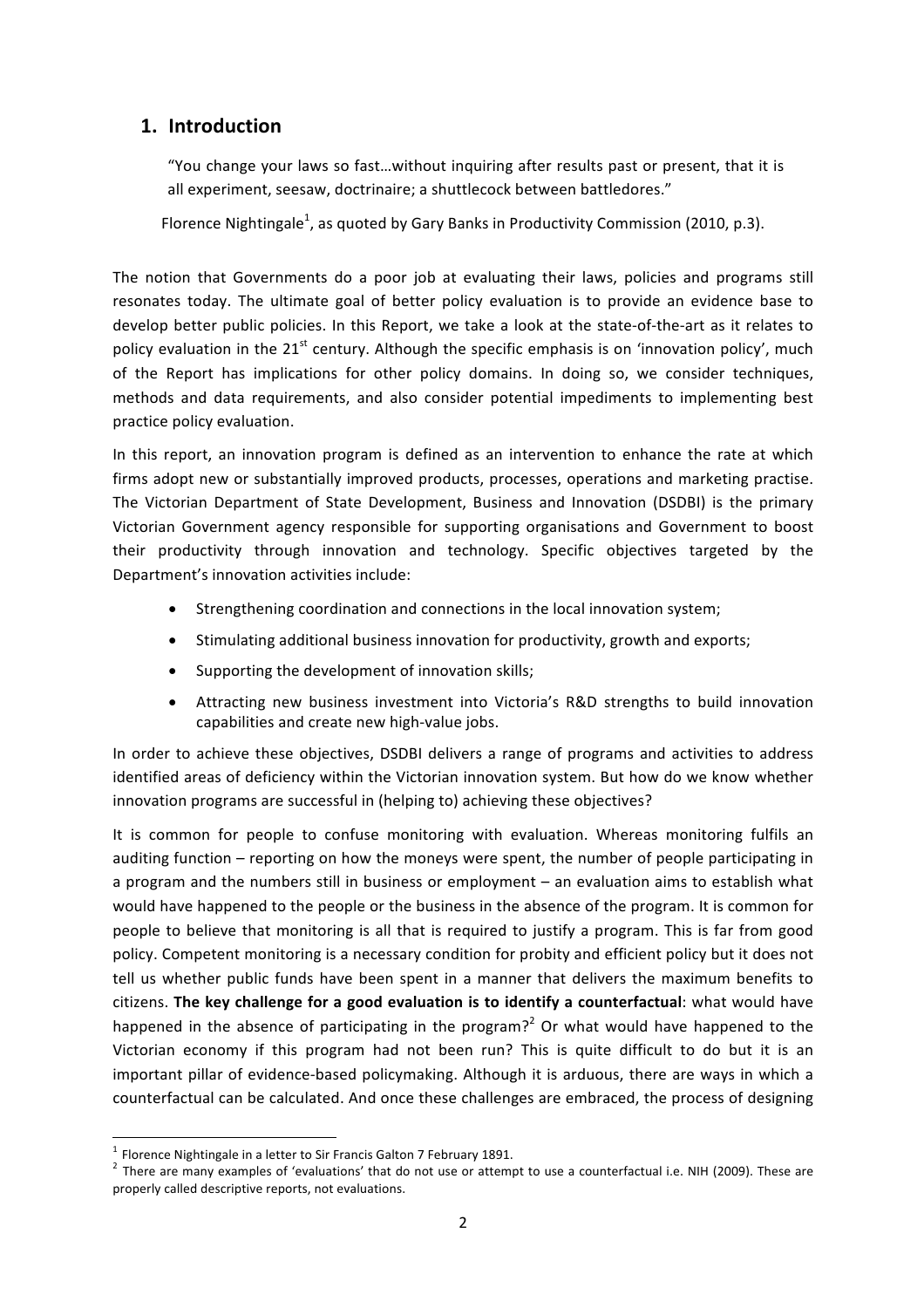# **1. Introduction**

"You change your laws so fast...without inquiring after results past or present, that it is all experiment, seesaw, doctrinaire; a shuttlecock between battledores."

Florence Nightingale<sup>1</sup>, as quoted by Gary Banks in Productivity Commission (2010, p.3).

The notion that Governments do a poor job at evaluating their laws, policies and programs still resonates today. The ultimate goal of better policy evaluation is to provide an evidence base to develop better public policies. In this Report, we take a look at the state-of-the-art as it relates to policy evaluation in the  $21^{st}$  century. Although the specific emphasis is on 'innovation policy', much of the Report has implications for other policy domains. In doing so, we consider techniques, methods and data requirements, and also consider potential impediments to implementing best practice policy evaluation.

In this report, an innovation program is defined as an intervention to enhance the rate at which firms adopt new or substantially improved products, processes, operations and marketing practise. The Victorian Department of State Development, Business and Innovation (DSDBI) is the primary Victorian Government agency responsible for supporting organisations and Government to boost their productivity through innovation and technology. Specific objectives targeted by the Department's innovation activities include:

- Strengthening coordination and connections in the local innovation system;
- Stimulating additional business innovation for productivity, growth and exports;
- Supporting the development of innovation skills;
- Attracting new business investment into Victoria's R&D strengths to build innovation capabilities and create new high-value jobs.

In order to achieve these objectives, DSDBI delivers a range of programs and activities to address identified areas of deficiency within the Victorian innovation system. But how do we know whether innovation programs are successful in (helping to) achieving these objectives?

It is common for people to confuse monitoring with evaluation. Whereas monitoring fulfils an auditing function – reporting on how the moneys were spent, the number of people participating in a program and the numbers still in business or employment – an evaluation aims to establish what would have happened to the people or the business in the absence of the program. It is common for people to believe that monitoring is all that is required to justify a program. This is far from good policy. Competent monitoring is a necessary condition for probity and efficient policy but it does not tell us whether public funds have been spent in a manner that delivers the maximum benefits to citizens. The key challenge for a good evaluation is to identify a counterfactual: what would have happened in the absence of participating in the program?<sup>2</sup> Or what would have happened to the Victorian economy if this program had not been run? This is quite difficult to do but it is an important pillar of evidence-based policymaking. Although it is arduous, there are ways in which a counterfactual can be calculated. And once these challenges are embraced, the process of designing

<sup>&</sup>lt;sup>1</sup> Florence Nightingale in a letter to Sir Francis Galton 7 February 1891.<br><sup>2</sup> There are many examples of 'evaluations' that do not use or attempt to use a counterfactual i.e. NIH (2009). These are properly called descriptive reports, not evaluations.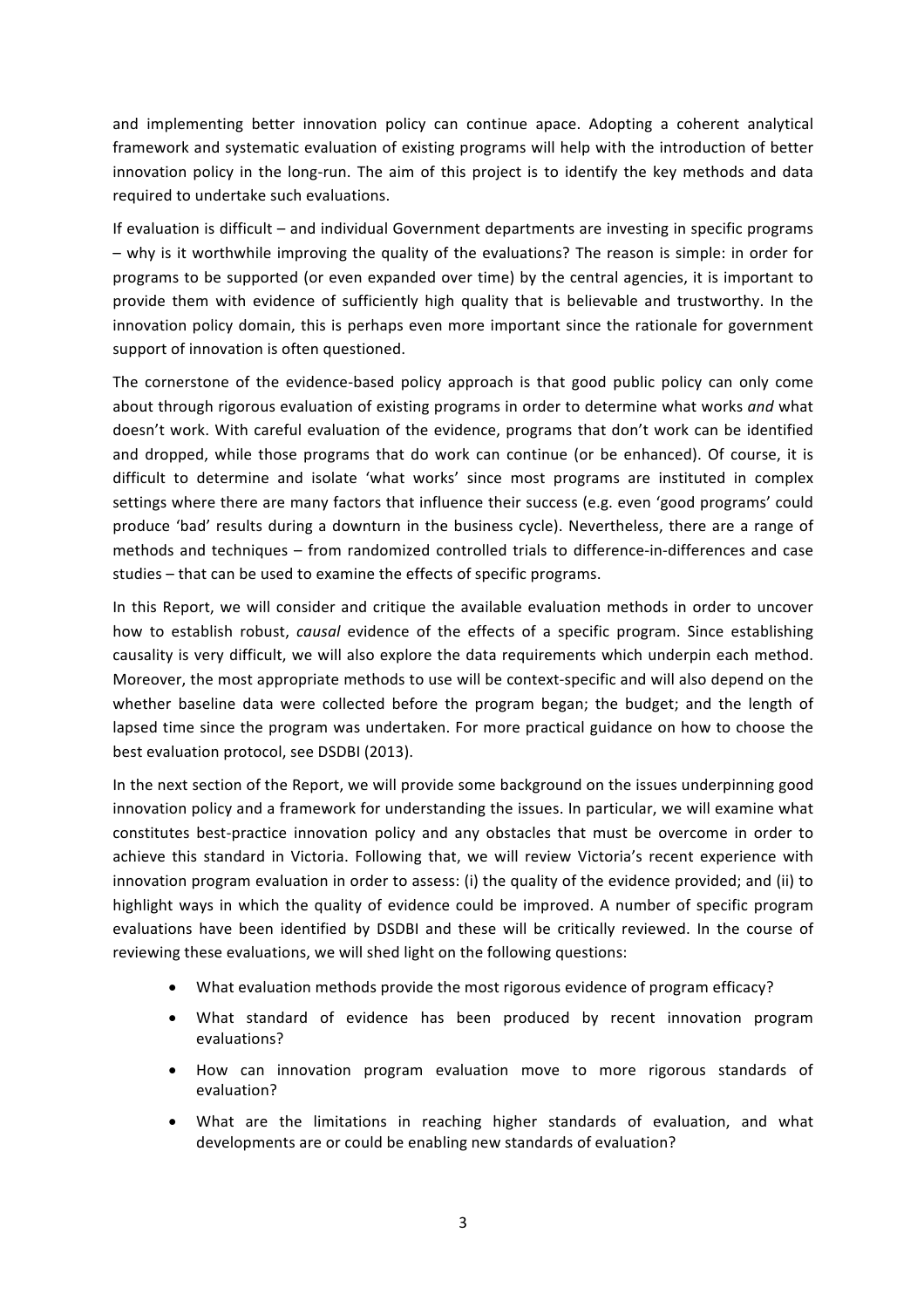and implementing better innovation policy can continue apace. Adopting a coherent analytical framework and systematic evaluation of existing programs will help with the introduction of better innovation policy in the long-run. The aim of this project is to identify the key methods and data required to undertake such evaluations.

If evaluation is difficult – and individual Government departments are investing in specific programs – why is it worthwhile improving the quality of the evaluations? The reason is simple: in order for programs to be supported (or even expanded over time) by the central agencies, it is important to provide them with evidence of sufficiently high quality that is believable and trustworthy. In the innovation policy domain, this is perhaps even more important since the rationale for government support of innovation is often questioned.

The cornerstone of the evidence-based policy approach is that good public policy can only come about through rigorous evaluation of existing programs in order to determine what works *and* what doesn't work. With careful evaluation of the evidence, programs that don't work can be identified and dropped, while those programs that do work can continue (or be enhanced). Of course, it is difficult to determine and isolate 'what works' since most programs are instituted in complex settings where there are many factors that influence their success (e.g. even 'good programs' could produce 'bad' results during a downturn in the business cycle). Nevertheless, there are a range of methods and techniques – from randomized controlled trials to difference-in-differences and case studies – that can be used to examine the effects of specific programs.

In this Report, we will consider and critique the available evaluation methods in order to uncover how to establish robust, *causal* evidence of the effects of a specific program. Since establishing causality is very difficult, we will also explore the data requirements which underpin each method. Moreover, the most appropriate methods to use will be context-specific and will also depend on the whether baseline data were collected before the program began; the budget; and the length of lapsed time since the program was undertaken. For more practical guidance on how to choose the best evaluation protocol, see DSDBI (2013).

In the next section of the Report, we will provide some background on the issues underpinning good innovation policy and a framework for understanding the issues. In particular, we will examine what constitutes best-practice innovation policy and any obstacles that must be overcome in order to achieve this standard in Victoria. Following that, we will review Victoria's recent experience with innovation program evaluation in order to assess: (i) the quality of the evidence provided; and (ii) to highlight ways in which the quality of evidence could be improved. A number of specific program evaluations have been identified by DSDBI and these will be critically reviewed. In the course of reviewing these evaluations, we will shed light on the following questions:

- What evaluation methods provide the most rigorous evidence of program efficacy?
- What standard of evidence has been produced by recent innovation program evaluations?
- How can innovation program evaluation move to more rigorous standards of evaluation?
- What are the limitations in reaching higher standards of evaluation, and what developments are or could be enabling new standards of evaluation?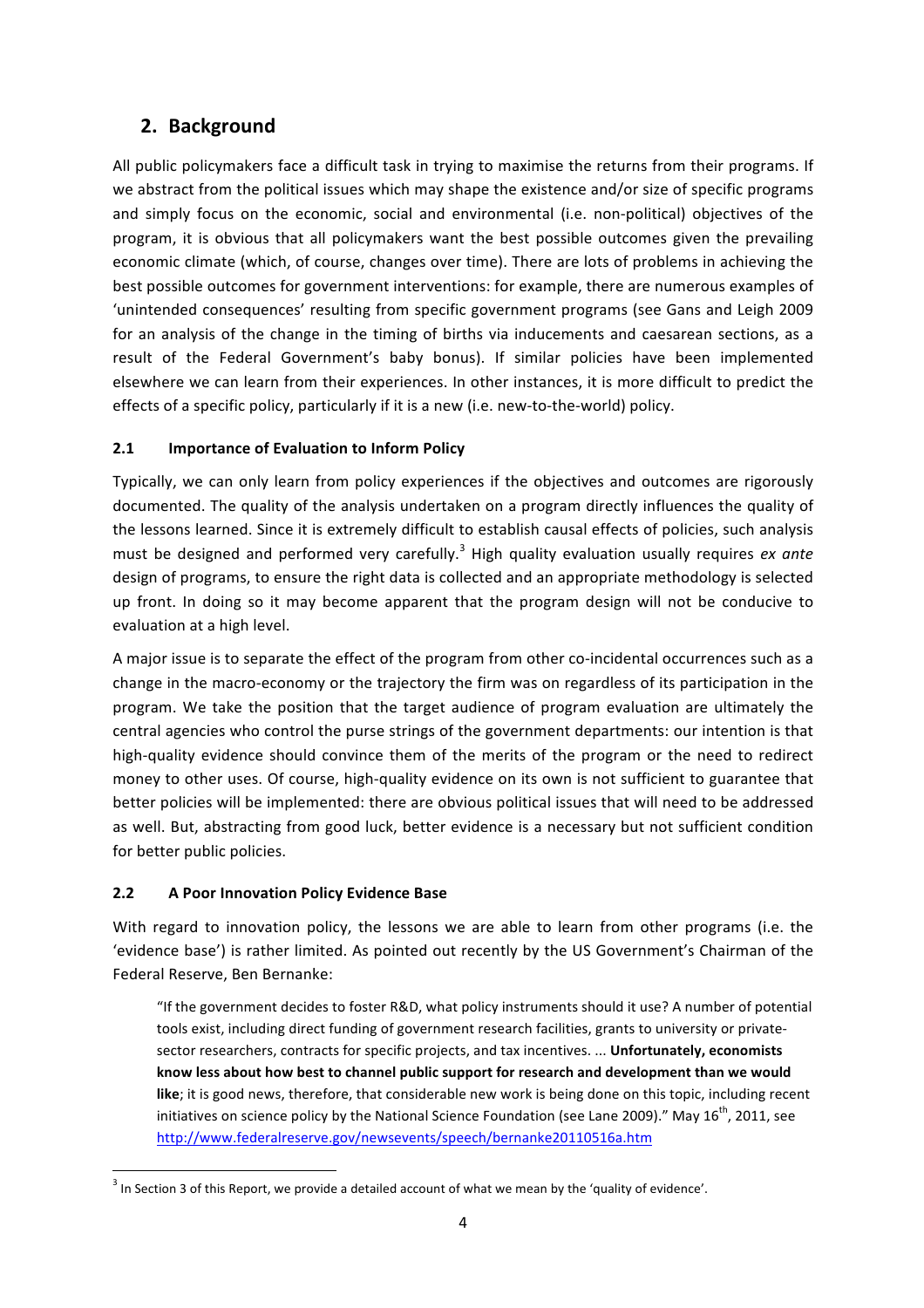# **2. Background**

All public policymakers face a difficult task in trying to maximise the returns from their programs. If we abstract from the political issues which may shape the existence and/or size of specific programs and simply focus on the economic, social and environmental (i.e. non-political) objectives of the program, it is obvious that all policymakers want the best possible outcomes given the prevailing economic climate (which, of course, changes over time). There are lots of problems in achieving the best possible outcomes for government interventions: for example, there are numerous examples of 'unintended consequences' resulting from specific government programs (see Gans and Leigh 2009 for an analysis of the change in the timing of births via inducements and caesarean sections, as a result of the Federal Government's baby bonus). If similar policies have been implemented elsewhere we can learn from their experiences. In other instances, it is more difficult to predict the effects of a specific policy, particularly if it is a new (i.e. new-to-the-world) policy.

# **2.1 Importance of Evaluation to Inform Policy**

Typically, we can only learn from policy experiences if the objectives and outcomes are rigorously documented. The quality of the analysis undertaken on a program directly influences the quality of the lessons learned. Since it is extremely difficult to establish causal effects of policies, such analysis must be designed and performed very carefully.<sup>3</sup> High quality evaluation usually requires *ex ante* design of programs, to ensure the right data is collected and an appropriate methodology is selected up front. In doing so it may become apparent that the program design will not be conducive to evaluation at a high level.

A major issue is to separate the effect of the program from other co-incidental occurrences such as a change in the macro-economy or the trajectory the firm was on regardless of its participation in the program. We take the position that the target audience of program evaluation are ultimately the central agencies who control the purse strings of the government departments: our intention is that high-quality evidence should convince them of the merits of the program or the need to redirect money to other uses. Of course, high-quality evidence on its own is not sufficient to guarantee that better policies will be implemented: there are obvious political issues that will need to be addressed as well. But, abstracting from good luck, better evidence is a necessary but not sufficient condition for better public policies.

# **2.2 A Poor Innovation Policy Evidence Base**

With regard to innovation policy, the lessons we are able to learn from other programs (i.e. the 'evidence base') is rather limited. As pointed out recently by the US Government's Chairman of the Federal Reserve, Ben Bernanke:

"If the government decides to foster R&D, what policy instruments should it use? A number of potential tools exist, including direct funding of government research facilities, grants to university or privatesector researchers, contracts for specific projects, and tax incentives. ... Unfortunately, economists know less about how best to channel public support for research and development than we would like; it is good news, therefore, that considerable new work is being done on this topic, including recent initiatives on science policy by the National Science Foundation (see Lane 2009)." May  $16^{th}$ , 2011, see http://www.federalreserve.gov/newsevents/speech/bernanke20110516a.htm

 $3$  In Section 3 of this Report, we provide a detailed account of what we mean by the 'quality of evidence'.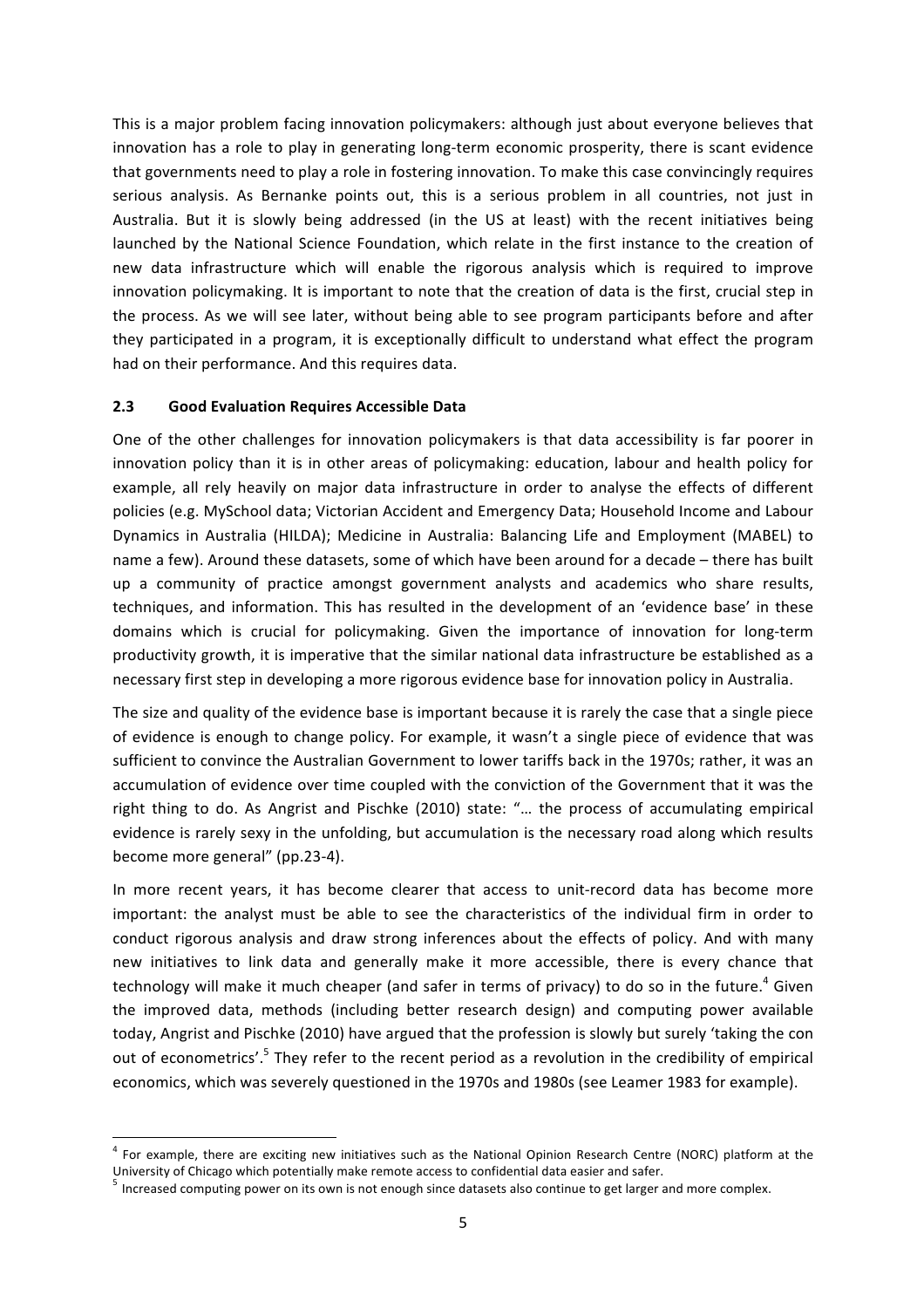This is a major problem facing innovation policymakers: although just about everyone believes that innovation has a role to play in generating long-term economic prosperity, there is scant evidence that governments need to play a role in fostering innovation. To make this case convincingly requires serious analysis. As Bernanke points out, this is a serious problem in all countries, not just in Australia. But it is slowly being addressed (in the US at least) with the recent initiatives being launched by the National Science Foundation, which relate in the first instance to the creation of new data infrastructure which will enable the rigorous analysis which is required to improve innovation policymaking. It is important to note that the creation of data is the first, crucial step in the process. As we will see later, without being able to see program participants before and after they participated in a program, it is exceptionally difficult to understand what effect the program had on their performance. And this requires data.

#### **2.3 Good Evaluation Requires Accessible Data**

One of the other challenges for innovation policymakers is that data accessibility is far poorer in innovation policy than it is in other areas of policymaking: education, labour and health policy for example, all rely heavily on major data infrastructure in order to analyse the effects of different policies (e.g. MySchool data; Victorian Accident and Emergency Data; Household Income and Labour Dynamics in Australia (HILDA); Medicine in Australia: Balancing Life and Employment (MABEL) to name a few). Around these datasets, some of which have been around for a decade – there has built up a community of practice amongst government analysts and academics who share results, techniques, and information. This has resulted in the development of an 'evidence base' in these domains which is crucial for policymaking. Given the importance of innovation for long-term productivity growth, it is imperative that the similar national data infrastructure be established as a necessary first step in developing a more rigorous evidence base for innovation policy in Australia.

The size and quality of the evidence base is important because it is rarely the case that a single piece of evidence is enough to change policy. For example, it wasn't a single piece of evidence that was sufficient to convince the Australian Government to lower tariffs back in the 1970s; rather, it was an accumulation of evidence over time coupled with the conviction of the Government that it was the right thing to do. As Angrist and Pischke (2010) state: "... the process of accumulating empirical evidence is rarely sexy in the unfolding, but accumulation is the necessary road along which results become more general" (pp.23-4).

In more recent years, it has become clearer that access to unit-record data has become more important: the analyst must be able to see the characteristics of the individual firm in order to conduct rigorous analysis and draw strong inferences about the effects of policy. And with many new initiatives to link data and generally make it more accessible, there is every chance that technology will make it much cheaper (and safer in terms of privacy) to do so in the future.<sup>4</sup> Given the improved data, methods (including better research design) and computing power available today, Angrist and Pischke (2010) have argued that the profession is slowly but surely 'taking the con out of econometrics'.<sup>5</sup> They refer to the recent period as a revolution in the credibility of empirical economics, which was severely questioned in the 1970s and 1980s (see Leamer 1983 for example).

 $4$  For example, there are exciting new initiatives such as the National Opinion Research Centre (NORC) platform at the University of Chicago which potentially make remote access to confidential data easier and safer.

 $<sup>5</sup>$  Increased computing power on its own is not enough since datasets also continue to get larger and more complex.</sup>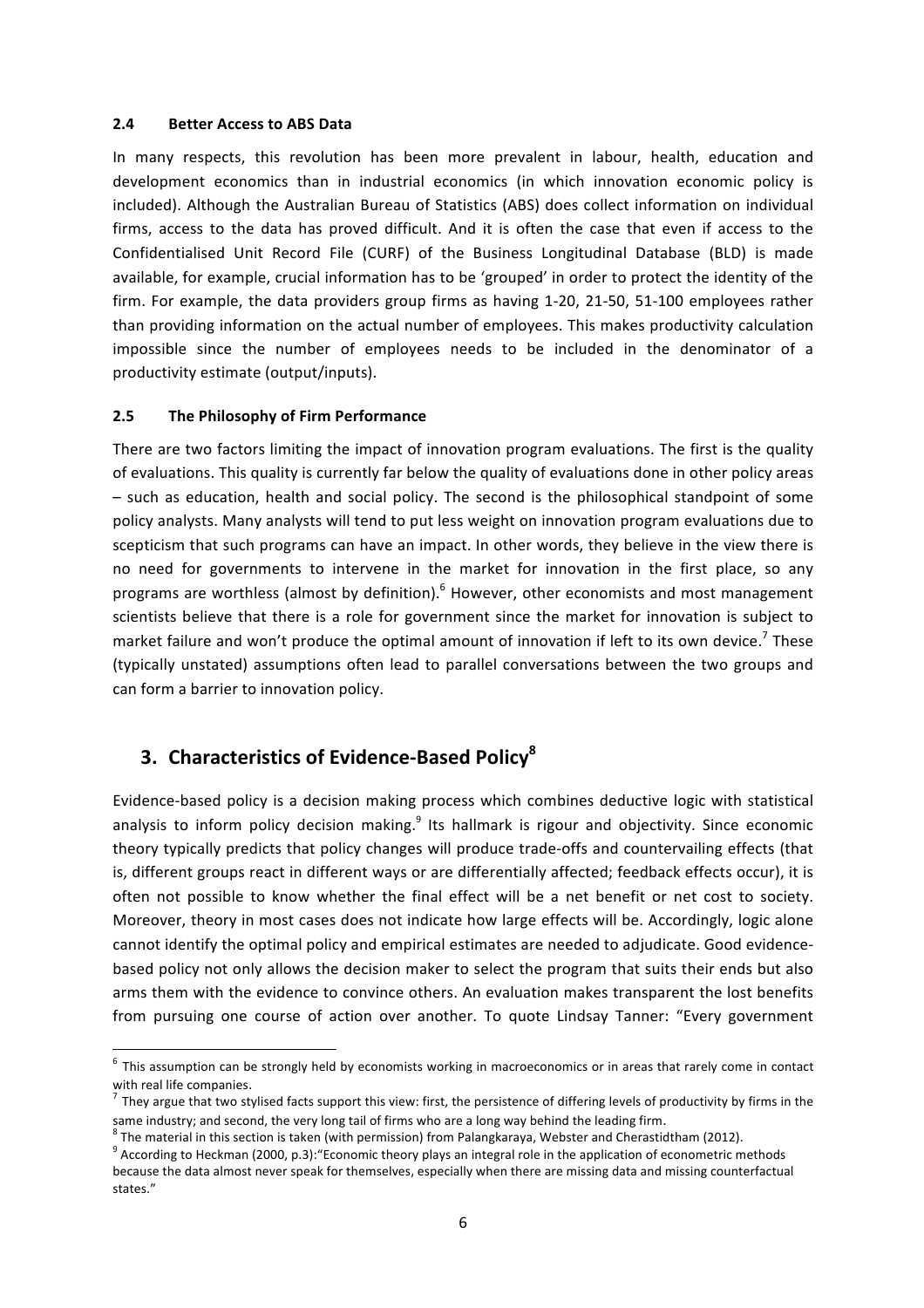#### **2.4 Better Access to ABS Data**

In many respects, this revolution has been more prevalent in labour, health, education and development economics than in industrial economics (in which innovation economic policy is included). Although the Australian Bureau of Statistics (ABS) does collect information on individual firms, access to the data has proved difficult. And it is often the case that even if access to the Confidentialised Unit Record File (CURF) of the Business Longitudinal Database (BLD) is made available, for example, crucial information has to be 'grouped' in order to protect the identity of the firm. For example, the data providers group firms as having 1-20, 21-50, 51-100 employees rather than providing information on the actual number of employees. This makes productivity calculation impossible since the number of employees needs to be included in the denominator of a productivity estimate (output/inputs).

#### **2.5** The Philosophy of Firm Performance

There are two factors limiting the impact of innovation program evaluations. The first is the quality of evaluations. This quality is currently far below the quality of evaluations done in other policy areas – such as education, health and social policy. The second is the philosophical standpoint of some policy analysts. Many analysts will tend to put less weight on innovation program evaluations due to scepticism that such programs can have an impact. In other words, they believe in the view there is no need for governments to intervene in the market for innovation in the first place, so any programs are worthless (almost by definition).  $6$  However, other economists and most management scientists believe that there is a role for government since the market for innovation is subject to market failure and won't produce the optimal amount of innovation if left to its own device.<sup>7</sup> These (typically unstated) assumptions often lead to parallel conversations between the two groups and can form a barrier to innovation policy.

# **3. Characteristics of Evidence-Based Policy<sup>8</sup>**

Evidence-based policy is a decision making process which combines deductive logic with statistical analysis to inform policy decision making.<sup>9</sup> Its hallmark is rigour and objectivity. Since economic theory typically predicts that policy changes will produce trade-offs and countervailing effects (that is, different groups react in different ways or are differentially affected; feedback effects occur), it is often not possible to know whether the final effect will be a net benefit or net cost to society. Moreover, theory in most cases does not indicate how large effects will be. Accordingly, logic alone cannot identify the optimal policy and empirical estimates are needed to adjudicate. Good evidencebased policy not only allows the decision maker to select the program that suits their ends but also arms them with the evidence to convince others. An evaluation makes transparent the lost benefits from pursuing one course of action over another. To quote Lindsay Tanner: "Every government

 $6$  This assumption can be strongly held by economists working in macroeconomics or in areas that rarely come in contact with real life companies.<br><sup>7</sup> They argue that two stylised facts support this view: first, the persistence of differing levels of productivity by firms in the

same industry; and second, the very long tail of firms who are a long way behind the leading firm.<br>
<sup>8</sup> The material in this section is taken (with permission) from Palangkaraya, Webster and Cherastidtham (2012).<br>
<sup>9</sup> Acc

because the data almost never speak for themselves, especially when there are missing data and missing counterfactual states."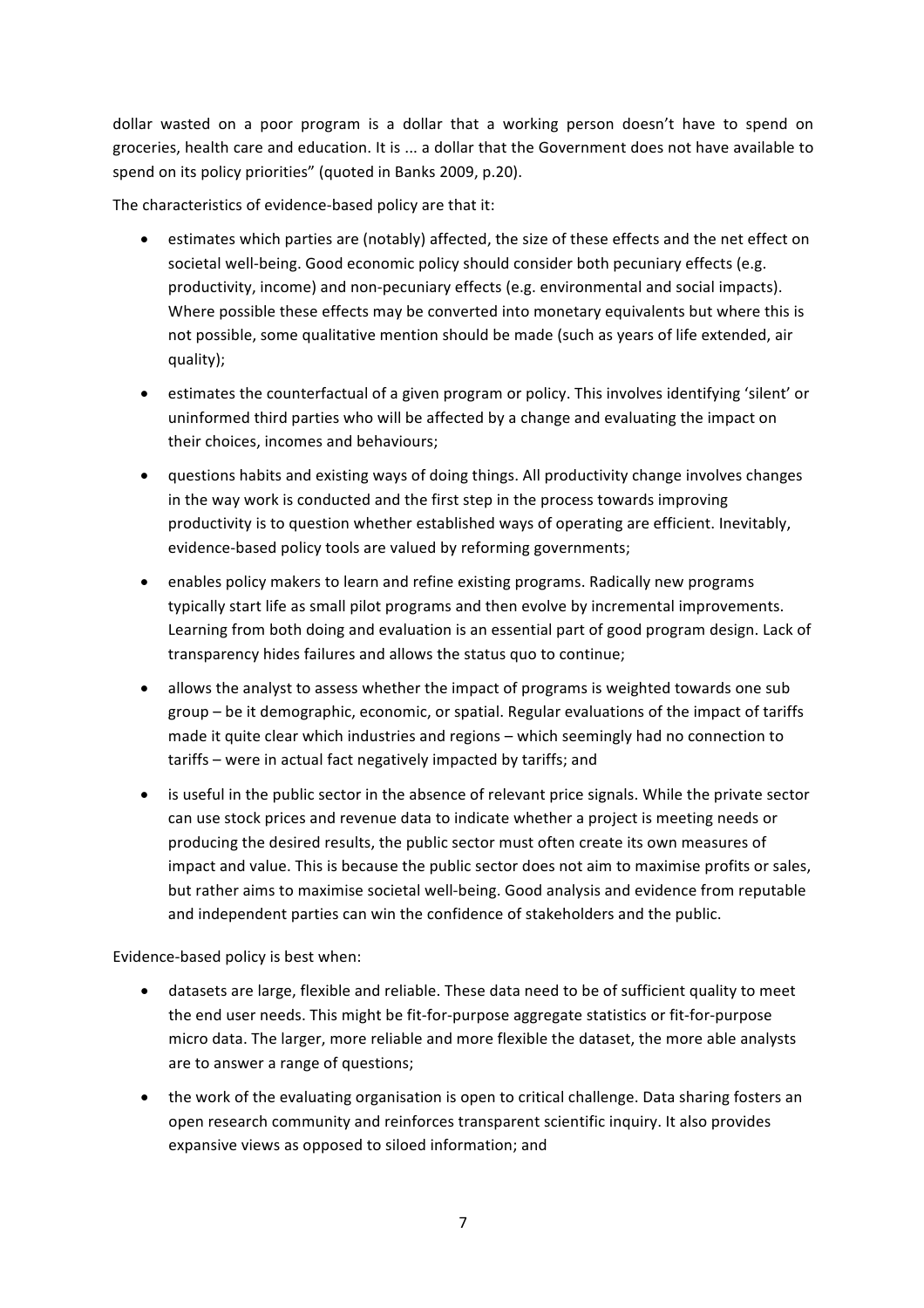dollar wasted on a poor program is a dollar that a working person doesn't have to spend on groceries, health care and education. It is ... a dollar that the Government does not have available to spend on its policy priorities" (quoted in Banks 2009, p.20).

The characteristics of evidence-based policy are that it:

- estimates which parties are (notably) affected, the size of these effects and the net effect on societal well-being. Good economic policy should consider both pecuniary effects (e.g. productivity, income) and non-pecuniary effects (e.g. environmental and social impacts). Where possible these effects may be converted into monetary equivalents but where this is not possible, some qualitative mention should be made (such as years of life extended, air quality);
- estimates the counterfactual of a given program or policy. This involves identifying 'silent' or uninformed third parties who will be affected by a change and evaluating the impact on their choices, incomes and behaviours;
- questions habits and existing ways of doing things. All productivity change involves changes in the way work is conducted and the first step in the process towards improving productivity is to question whether established ways of operating are efficient. Inevitably, evidence-based policy tools are valued by reforming governments;
- enables policy makers to learn and refine existing programs. Radically new programs typically start life as small pilot programs and then evolve by incremental improvements. Learning from both doing and evaluation is an essential part of good program design. Lack of transparency hides failures and allows the status quo to continue;
- allows the analyst to assess whether the impact of programs is weighted towards one sub group – be it demographic, economic, or spatial. Regular evaluations of the impact of tariffs made it quite clear which industries and regions – which seemingly had no connection to tariffs – were in actual fact negatively impacted by tariffs; and
- is useful in the public sector in the absence of relevant price signals. While the private sector can use stock prices and revenue data to indicate whether a project is meeting needs or producing the desired results, the public sector must often create its own measures of impact and value. This is because the public sector does not aim to maximise profits or sales, but rather aims to maximise societal well-being. Good analysis and evidence from reputable and independent parties can win the confidence of stakeholders and the public.

Evidence-based policy is best when:

- datasets are large, flexible and reliable. These data need to be of sufficient quality to meet the end user needs. This might be fit-for-purpose aggregate statistics or fit-for-purpose micro data. The larger, more reliable and more flexible the dataset, the more able analysts are to answer a range of questions:
- the work of the evaluating organisation is open to critical challenge. Data sharing fosters an open research community and reinforces transparent scientific inquiry. It also provides expansive views as opposed to siloed information; and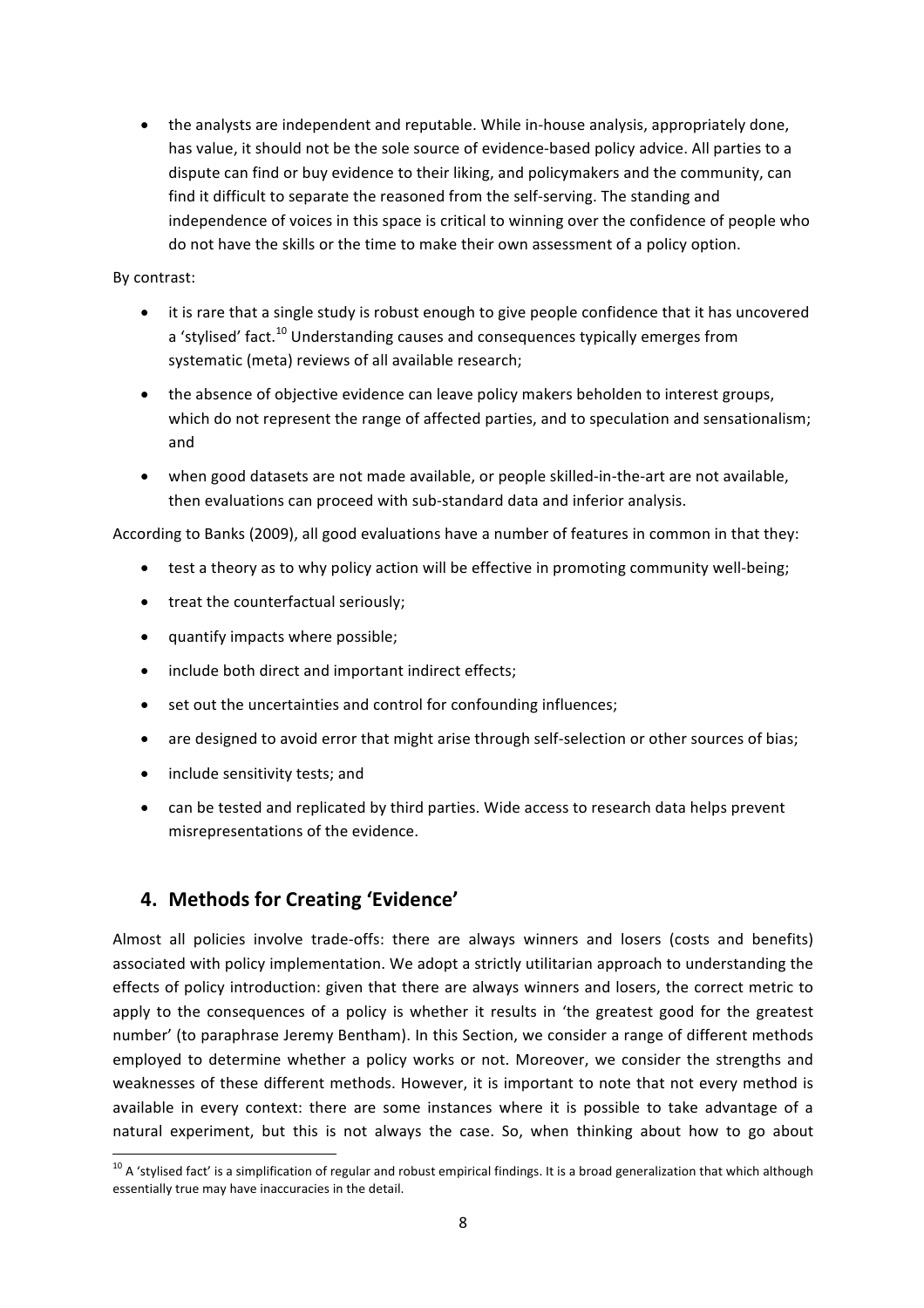• the analysts are independent and reputable. While in-house analysis, appropriately done, has value, it should not be the sole source of evidence-based policy advice. All parties to a dispute can find or buy evidence to their liking, and policymakers and the community, can find it difficult to separate the reasoned from the self-serving. The standing and independence of voices in this space is critical to winning over the confidence of people who do not have the skills or the time to make their own assessment of a policy option.

#### By contrast:

- it is rare that a single study is robust enough to give people confidence that it has uncovered a 'stylised' fact.<sup>10</sup> Understanding causes and consequences typically emerges from systematic (meta) reviews of all available research;
- the absence of objective evidence can leave policy makers beholden to interest groups, which do not represent the range of affected parties, and to speculation and sensationalism; and
- when good datasets are not made available, or people skilled-in-the-art are not available, then evaluations can proceed with sub-standard data and inferior analysis.

According to Banks (2009), all good evaluations have a number of features in common in that they:

- test a theory as to why policy action will be effective in promoting community well-being;
- treat the counterfactual seriously;
- quantify impacts where possible;
- include both direct and important indirect effects;
- set out the uncertainties and control for confounding influences;
- are designed to avoid error that might arise through self-selection or other sources of bias;
- include sensitivity tests; and
- can be tested and replicated by third parties. Wide access to research data helps prevent misrepresentations of the evidence.

# **4. Methods for Creating 'Evidence'**

Almost all policies involve trade-offs: there are always winners and losers (costs and benefits) associated with policy implementation. We adopt a strictly utilitarian approach to understanding the effects of policy introduction: given that there are always winners and losers, the correct metric to apply to the consequences of a policy is whether it results in 'the greatest good for the greatest number' (to paraphrase Jeremy Bentham). In this Section, we consider a range of different methods employed to determine whether a policy works or not. Moreover, we consider the strengths and weaknesses of these different methods. However, it is important to note that not every method is available in every context: there are some instances where it is possible to take advantage of a natural experiment, but this is not always the case. So, when thinking about how to go about

 $10$  A 'stylised fact' is a simplification of regular and robust empirical findings. It is a broad generalization that which although essentially true may have inaccuracies in the detail.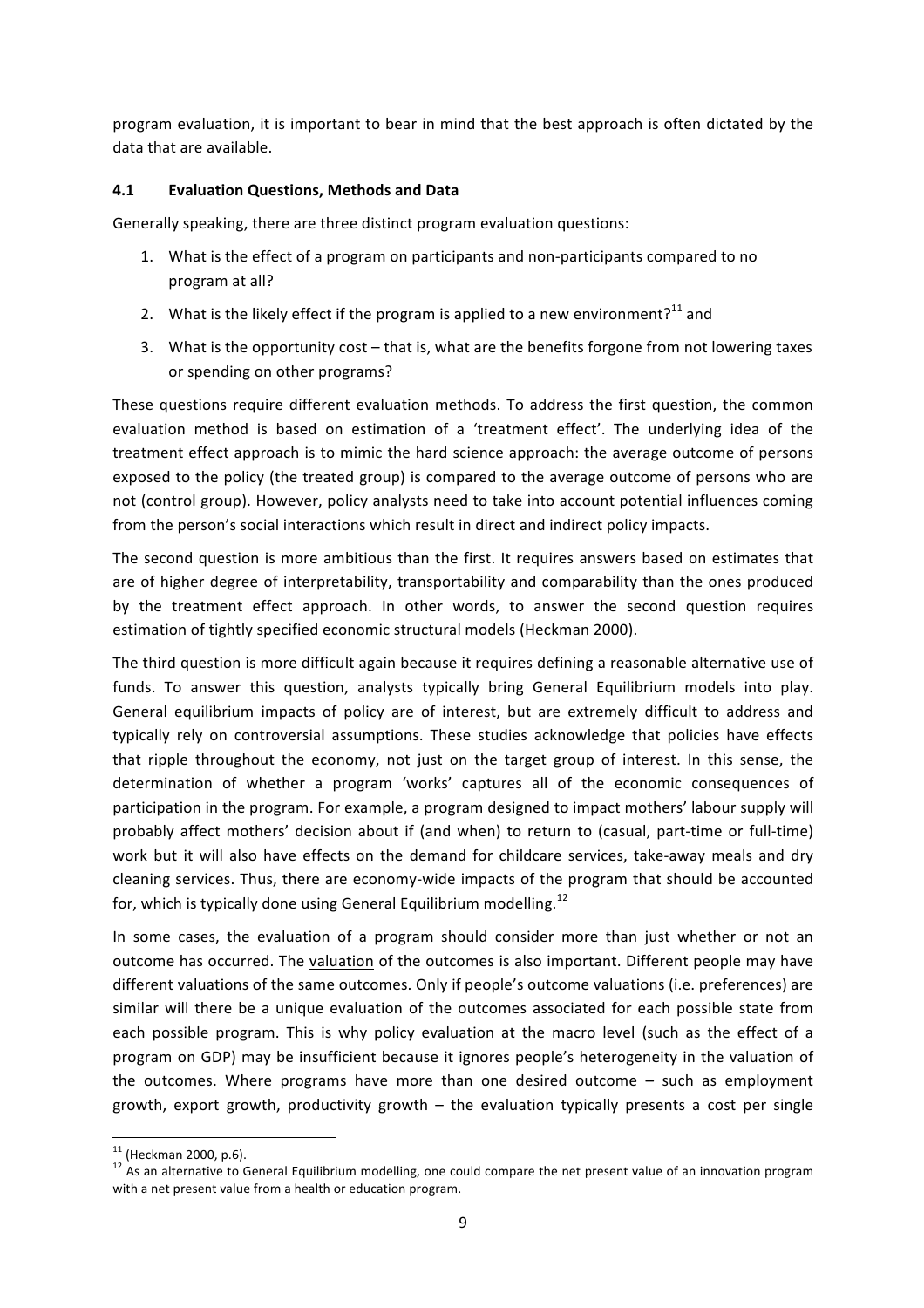program evaluation, it is important to bear in mind that the best approach is often dictated by the data that are available.

#### **4.1 Evaluation Questions, Methods and Data**

Generally speaking, there are three distinct program evaluation questions:

- 1. What is the effect of a program on participants and non-participants compared to no program at all?
- 2. What is the likely effect if the program is applied to a new environment?<sup>11</sup> and
- 3. What is the opportunity cost that is, what are the benefits forgone from not lowering taxes or spending on other programs?

These questions require different evaluation methods. To address the first question, the common evaluation method is based on estimation of a 'treatment effect'. The underlying idea of the treatment effect approach is to mimic the hard science approach: the average outcome of persons exposed to the policy (the treated group) is compared to the average outcome of persons who are not (control group). However, policy analysts need to take into account potential influences coming from the person's social interactions which result in direct and indirect policy impacts.

The second question is more ambitious than the first. It requires answers based on estimates that are of higher degree of interpretability, transportability and comparability than the ones produced by the treatment effect approach. In other words, to answer the second question requires estimation of tightly specified economic structural models (Heckman 2000).

The third question is more difficult again because it requires defining a reasonable alternative use of funds. To answer this question, analysts typically bring General Equilibrium models into play. General equilibrium impacts of policy are of interest, but are extremely difficult to address and typically rely on controversial assumptions. These studies acknowledge that policies have effects that ripple throughout the economy, not just on the target group of interest. In this sense, the determination of whether a program 'works' captures all of the economic consequences of participation in the program. For example, a program designed to impact mothers' labour supply will probably affect mothers' decision about if (and when) to return to (casual, part-time or full-time) work but it will also have effects on the demand for childcare services, take-away meals and dry cleaning services. Thus, there are economy-wide impacts of the program that should be accounted for, which is typically done using General Equilibrium modelling.<sup>12</sup>

In some cases, the evaluation of a program should consider more than just whether or not an outcome has occurred. The valuation of the outcomes is also important. Different people may have different valuations of the same outcomes. Only if people's outcome valuations (i.e. preferences) are similar will there be a unique evaluation of the outcomes associated for each possible state from each possible program. This is why policy evaluation at the macro level (such as the effect of a program on GDP) may be insufficient because it ignores people's heterogeneity in the valuation of the outcomes. Where programs have more than one desired outcome  $-$  such as employment growth, export growth, productivity growth  $-$  the evaluation typically presents a cost per single

<sup>&</sup>lt;sup>11</sup> (Heckman 2000, p.6).<br><sup>12</sup> As an alternative to General Equilibrium modelling, one could compare the net present value of an innovation program with a net present value from a health or education program.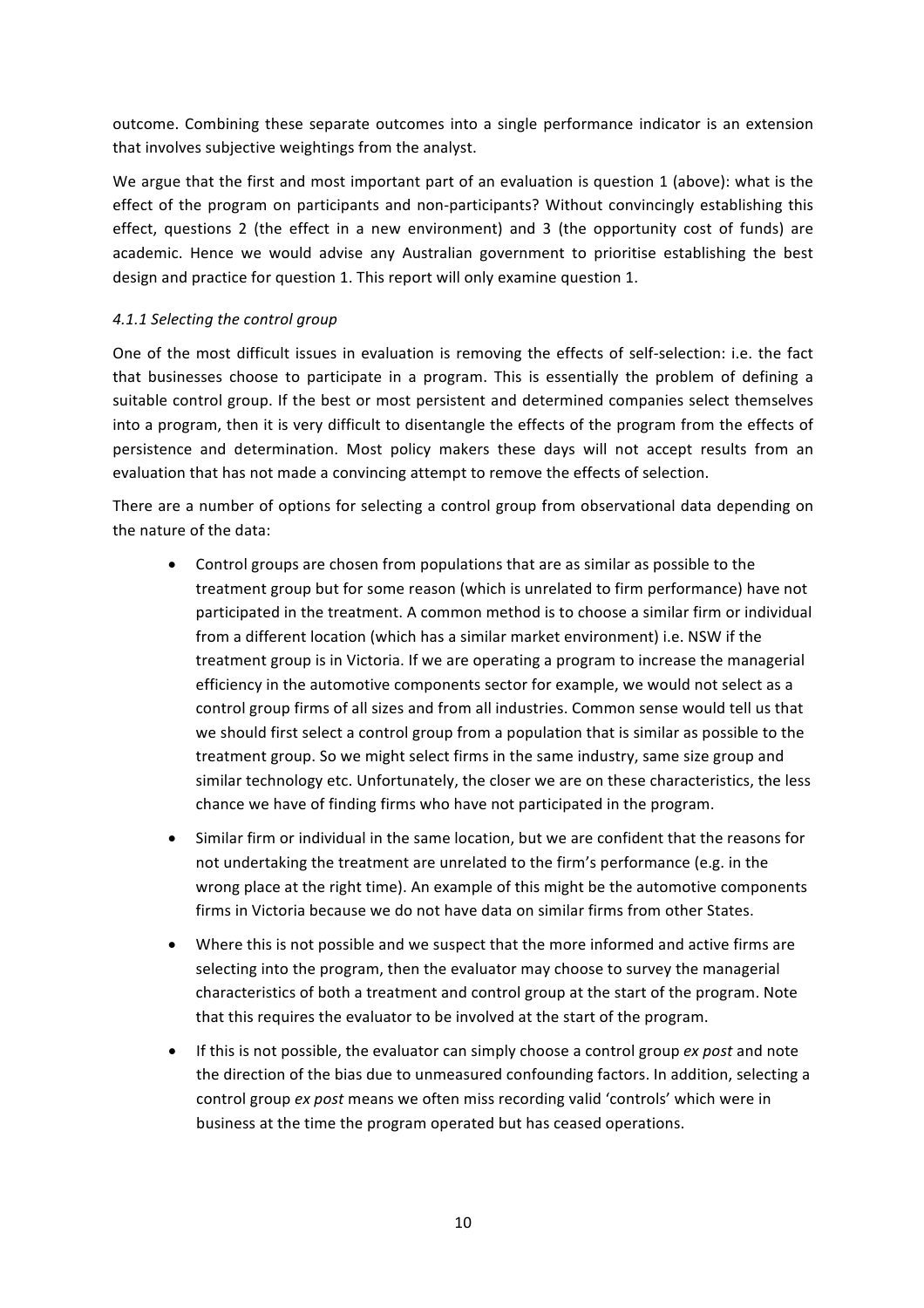outcome. Combining these separate outcomes into a single performance indicator is an extension that involves subjective weightings from the analyst.

We argue that the first and most important part of an evaluation is question 1 (above): what is the effect of the program on participants and non-participants? Without convincingly establishing this effect, questions 2 (the effect in a new environment) and 3 (the opportunity cost of funds) are academic. Hence we would advise any Australian government to prioritise establishing the best design and practice for question 1. This report will only examine question 1.

### *4.1.1 Selecting the control group*

One of the most difficult issues in evaluation is removing the effects of self-selection: i.e. the fact that businesses choose to participate in a program. This is essentially the problem of defining a suitable control group. If the best or most persistent and determined companies select themselves into a program, then it is very difficult to disentangle the effects of the program from the effects of persistence and determination. Most policy makers these days will not accept results from an evaluation that has not made a convincing attempt to remove the effects of selection.

There are a number of options for selecting a control group from observational data depending on the nature of the data:

- Control groups are chosen from populations that are as similar as possible to the treatment group but for some reason (which is unrelated to firm performance) have not participated in the treatment. A common method is to choose a similar firm or individual from a different location (which has a similar market environment) i.e. NSW if the treatment group is in Victoria. If we are operating a program to increase the managerial efficiency in the automotive components sector for example, we would not select as a control group firms of all sizes and from all industries. Common sense would tell us that we should first select a control group from a population that is similar as possible to the treatment group. So we might select firms in the same industry, same size group and similar technology etc. Unfortunately, the closer we are on these characteristics, the less chance we have of finding firms who have not participated in the program.
- Similar firm or individual in the same location, but we are confident that the reasons for not undertaking the treatment are unrelated to the firm's performance (e.g. in the wrong place at the right time). An example of this might be the automotive components firms in Victoria because we do not have data on similar firms from other States.
- Where this is not possible and we suspect that the more informed and active firms are selecting into the program, then the evaluator may choose to survey the managerial characteristics of both a treatment and control group at the start of the program. Note that this requires the evaluator to be involved at the start of the program.
- If this is not possible, the evaluator can simply choose a control group ex post and note the direction of the bias due to unmeasured confounding factors. In addition, selecting a control group *ex post* means we often miss recording valid 'controls' which were in business at the time the program operated but has ceased operations.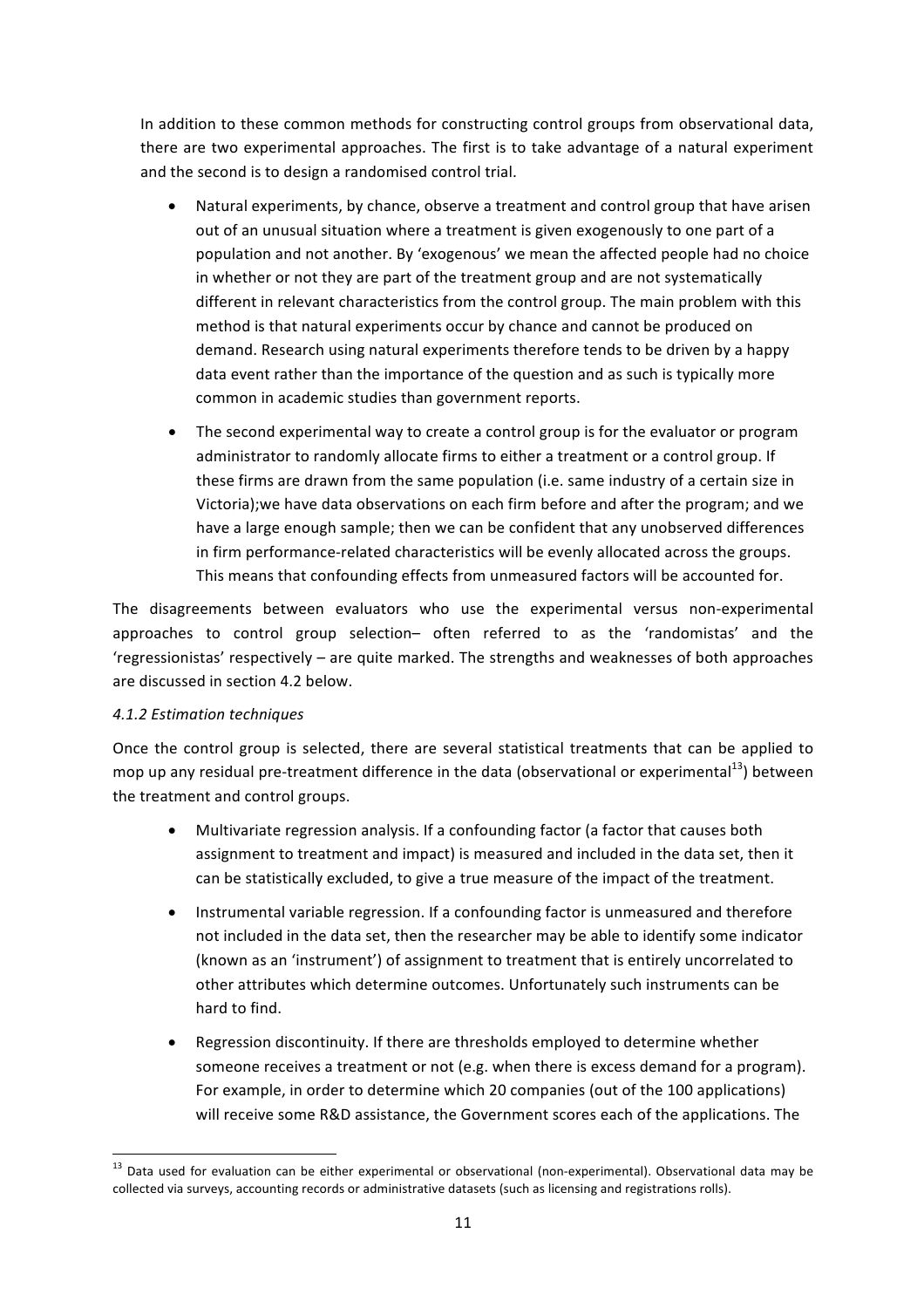In addition to these common methods for constructing control groups from observational data, there are two experimental approaches. The first is to take advantage of a natural experiment and the second is to design a randomised control trial.

- Natural experiments, by chance, observe a treatment and control group that have arisen out of an unusual situation where a treatment is given exogenously to one part of a population and not another. By 'exogenous' we mean the affected people had no choice in whether or not they are part of the treatment group and are not systematically different in relevant characteristics from the control group. The main problem with this method is that natural experiments occur by chance and cannot be produced on demand. Research using natural experiments therefore tends to be driven by a happy data event rather than the importance of the question and as such is typically more common in academic studies than government reports.
- The second experimental way to create a control group is for the evaluator or program administrator to randomly allocate firms to either a treatment or a control group. If these firms are drawn from the same population (i.e. same industry of a certain size in Victoria);we have data observations on each firm before and after the program; and we have a large enough sample; then we can be confident that any unobserved differences in firm performance-related characteristics will be evenly allocated across the groups. This means that confounding effects from unmeasured factors will be accounted for.

The disagreements between evaluators who use the experimental versus non-experimental approaches to control group selection- often referred to as the 'randomistas' and the 'regressionistas' respectively – are quite marked. The strengths and weaknesses of both approaches are discussed in section 4.2 below.

#### *4.1.2 Estimation techniques*

Once the control group is selected, there are several statistical treatments that can be applied to mop up any residual pre-treatment difference in the data (observational or experimental $^{13}$ ) between the treatment and control groups.

- Multivariate regression analysis. If a confounding factor (a factor that causes both assignment to treatment and impact) is measured and included in the data set, then it can be statistically excluded, to give a true measure of the impact of the treatment.
- Instrumental variable regression. If a confounding factor is unmeasured and therefore not included in the data set, then the researcher may be able to identify some indicator (known as an 'instrument') of assignment to treatment that is entirely uncorrelated to other attributes which determine outcomes. Unfortunately such instruments can be hard to find.
- Regression discontinuity. If there are thresholds employed to determine whether someone receives a treatment or not (e.g. when there is excess demand for a program). For example, in order to determine which 20 companies (out of the 100 applications) will receive some R&D assistance, the Government scores each of the applications. The

 $13$  Data used for evaluation can be either experimental or observational (non-experimental). Observational data may be collected via surveys, accounting records or administrative datasets (such as licensing and registrations rolls).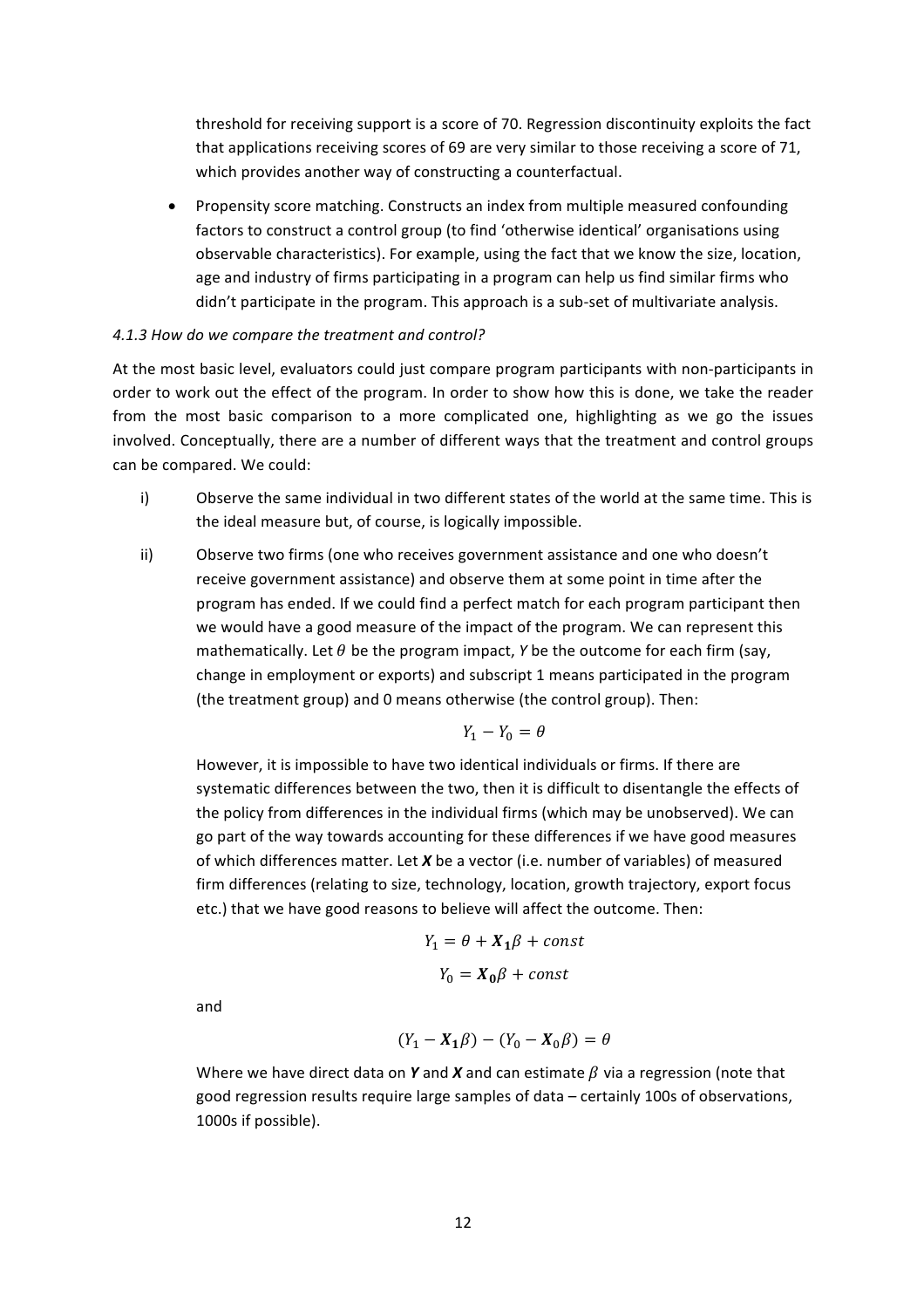threshold for receiving support is a score of 70. Regression discontinuity exploits the fact that applications receiving scores of 69 are very similar to those receiving a score of 71, which provides another way of constructing a counterfactual.

Propensity score matching. Constructs an index from multiple measured confounding factors to construct a control group (to find 'otherwise identical' organisations using observable characteristics). For example, using the fact that we know the size, location, age and industry of firms participating in a program can help us find similar firms who didn't participate in the program. This approach is a sub-set of multivariate analysis.

#### *4.1.3 How do we compare the treatment and control?*

At the most basic level, evaluators could just compare program participants with non-participants in order to work out the effect of the program. In order to show how this is done, we take the reader from the most basic comparison to a more complicated one, highlighting as we go the issues involved. Conceptually, there are a number of different ways that the treatment and control groups can be compared. We could:

- i) Observe the same individual in two different states of the world at the same time. This is the ideal measure but, of course, is logically impossible.
- ii) Observe two firms (one who receives government assistance and one who doesn't receive government assistance) and observe them at some point in time after the program has ended. If we could find a perfect match for each program participant then we would have a good measure of the impact of the program. We can represent this mathematically. Let  $\theta$  be the program impact, *Y* be the outcome for each firm (say, change in employment or exports) and subscript 1 means participated in the program (the treatment group) and 0 means otherwise (the control group). Then:

$$
Y_1 - Y_0 = \theta
$$

However, it is impossible to have two identical individuals or firms. If there are systematic differences between the two, then it is difficult to disentangle the effects of the policy from differences in the individual firms (which may be unobserved). We can go part of the way towards accounting for these differences if we have good measures of which differences matter. Let X be a vector (i.e. number of variables) of measured firm differences (relating to size, technology, location, growth trajectory, export focus etc.) that we have good reasons to believe will affect the outcome. Then:

$$
Y_1 = \theta + X_1 \beta + const
$$

$$
Y_0 = X_0 \beta + const
$$

and

$$
(Y_1 - \mathbf{X}_1 \boldsymbol{\beta}) - (Y_0 - \mathbf{X}_0 \boldsymbol{\beta}) = \boldsymbol{\theta}
$$

Where we have direct data on **Y** and **X** and can estimate  $\beta$  via a regression (note that good regression results require large samples of data – certainly 100s of observations, 1000s if possible).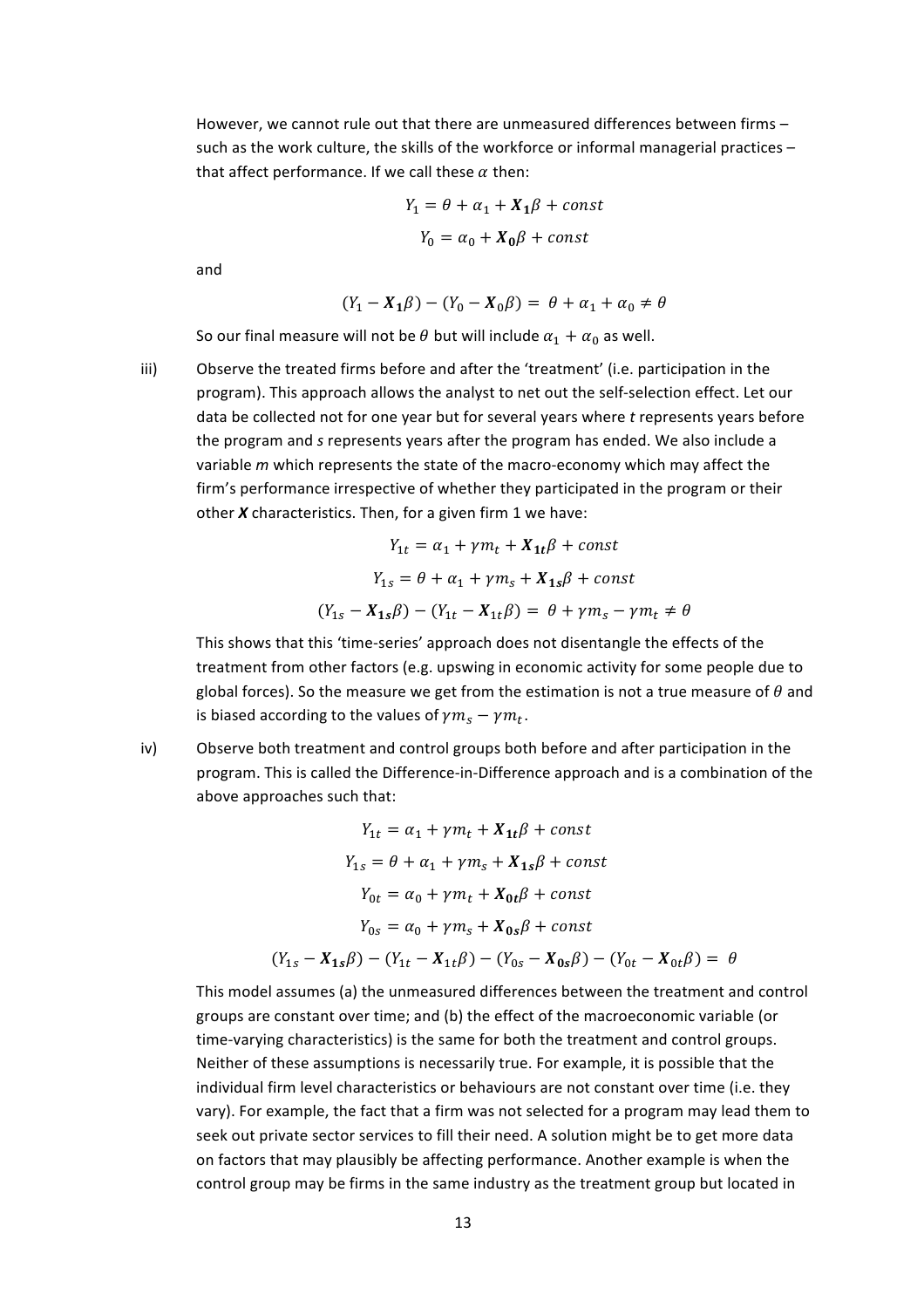However, we cannot rule out that there are unmeasured differences between firms such as the work culture, the skills of the workforce or informal managerial practices  $$ that affect performance. If we call these  $\alpha$  then:

$$
Y_1 = \theta + \alpha_1 + X_1\beta + const
$$

$$
Y_0 = \alpha_0 + X_0\beta + const
$$

and

$$
(Y_1 - X_1\beta) - (Y_0 - X_0\beta) = \theta + \alpha_1 + \alpha_0 \neq \theta
$$

So our final measure will not be  $\theta$  but will include  $\alpha_1 + \alpha_0$  as well.

iii) Observe the treated firms before and after the 'treatment' (i.e. participation in the program). This approach allows the analyst to net out the self-selection effect. Let our data be collected not for one year but for several years where t represents years before the program and *s* represents years after the program has ended. We also include a variable *m* which represents the state of the macro-economy which may affect the firm's performance irrespective of whether they participated in the program or their other *X* characteristics. Then, for a given firm 1 we have:

$$
Y_{1t} = \alpha_1 + \gamma m_t + X_{1t}\beta + const
$$
  

$$
Y_{1s} = \theta + \alpha_1 + \gamma m_s + X_{1s}\beta + const
$$
  

$$
(Y_{1s} - X_{1s}\beta) - (Y_{1t} - X_{1t}\beta) = \theta + \gamma m_s - \gamma m_t \neq \theta
$$

This shows that this 'time-series' approach does not disentangle the effects of the treatment from other factors (e.g. upswing in economic activity for some people due to global forces). So the measure we get from the estimation is not a true measure of  $\theta$  and is biased according to the values of  $\gamma m_s - \gamma m_t$ .

iv) Observe both treatment and control groups both before and after participation in the program. This is called the Difference-in-Difference approach and is a combination of the above approaches such that:

$$
Y_{1t} = \alpha_1 + \gamma m_t + X_{1t}\beta + const
$$
  
\n
$$
Y_{1s} = \theta + \alpha_1 + \gamma m_s + X_{1s}\beta + const
$$
  
\n
$$
Y_{0t} = \alpha_0 + \gamma m_t + X_{0t}\beta + const
$$
  
\n
$$
Y_{0s} = \alpha_0 + \gamma m_s + X_{0s}\beta + const
$$
  
\n
$$
(Y_{1s} - X_{1s}\beta) - (Y_{1t} - X_{1t}\beta) - (Y_{0s} - X_{0s}\beta) - (Y_{0t} - X_{0t}\beta) = \theta
$$

This model assumes (a) the unmeasured differences between the treatment and control groups are constant over time; and (b) the effect of the macroeconomic variable (or time-varying characteristics) is the same for both the treatment and control groups. Neither of these assumptions is necessarily true. For example, it is possible that the individual firm level characteristics or behaviours are not constant over time (i.e. they vary). For example, the fact that a firm was not selected for a program may lead them to seek out private sector services to fill their need. A solution might be to get more data on factors that may plausibly be affecting performance. Another example is when the control group may be firms in the same industry as the treatment group but located in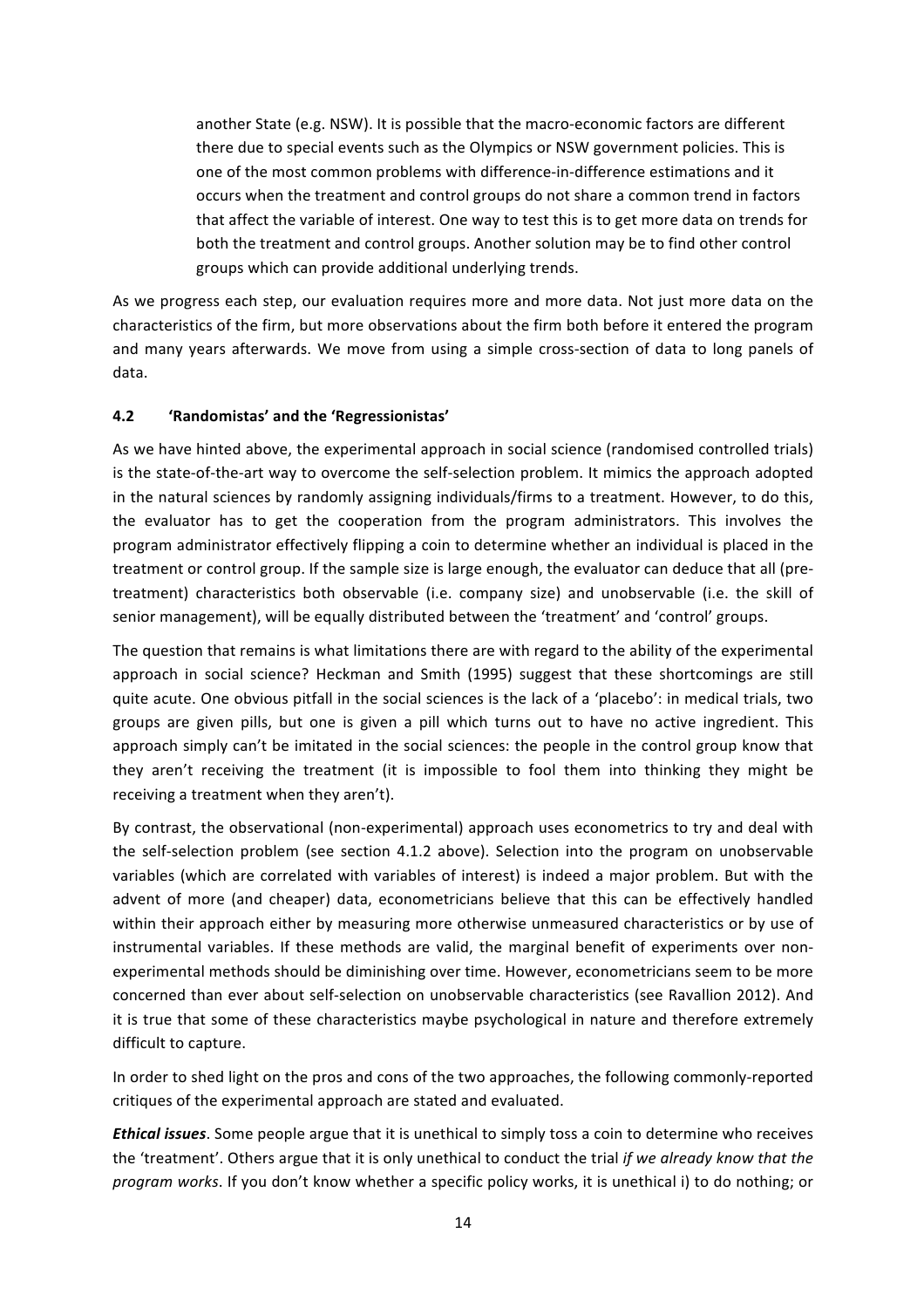another State (e.g. NSW). It is possible that the macro-economic factors are different there due to special events such as the Olympics or NSW government policies. This is one of the most common problems with difference-in-difference estimations and it occurs when the treatment and control groups do not share a common trend in factors that affect the variable of interest. One way to test this is to get more data on trends for both the treatment and control groups. Another solution may be to find other control groups which can provide additional underlying trends.

As we progress each step, our evaluation requires more and more data. Not just more data on the characteristics of the firm, but more observations about the firm both before it entered the program and many years afterwards. We move from using a simple cross-section of data to long panels of data. 

#### **4.2 'Randomistas' and the 'Regressionistas'**

As we have hinted above, the experimental approach in social science (randomised controlled trials) is the state-of-the-art way to overcome the self-selection problem. It mimics the approach adopted in the natural sciences by randomly assigning individuals/firms to a treatment. However, to do this, the evaluator has to get the cooperation from the program administrators. This involves the program administrator effectively flipping a coin to determine whether an individual is placed in the treatment or control group. If the sample size is large enough, the evaluator can deduce that all (pretreatment) characteristics both observable (i.e. company size) and unobservable (i.e. the skill of senior management), will be equally distributed between the 'treatment' and 'control' groups.

The question that remains is what limitations there are with regard to the ability of the experimental approach in social science? Heckman and Smith (1995) suggest that these shortcomings are still quite acute. One obvious pitfall in the social sciences is the lack of a 'placebo': in medical trials, two groups are given pills, but one is given a pill which turns out to have no active ingredient. This approach simply can't be imitated in the social sciences: the people in the control group know that they aren't receiving the treatment (it is impossible to fool them into thinking they might be receiving a treatment when they aren't).

By contrast, the observational (non-experimental) approach uses econometrics to try and deal with the self-selection problem (see section 4.1.2 above). Selection into the program on unobservable variables (which are correlated with variables of interest) is indeed a major problem. But with the advent of more (and cheaper) data, econometricians believe that this can be effectively handled within their approach either by measuring more otherwise unmeasured characteristics or by use of instrumental variables. If these methods are valid, the marginal benefit of experiments over nonexperimental methods should be diminishing over time. However, econometricians seem to be more concerned than ever about self-selection on unobservable characteristics (see Ravallion 2012). And it is true that some of these characteristics maybe psychological in nature and therefore extremely difficult to capture.

In order to shed light on the pros and cons of the two approaches, the following commonly-reported critiques of the experimental approach are stated and evaluated.

*Ethical issues*. Some people argue that it is unethical to simply toss a coin to determine who receives the 'treatment'. Others argue that it is only unethical to conduct the trial *if* we already know that the *program* works. If you don't know whether a specific policy works, it is unethical i) to do nothing; or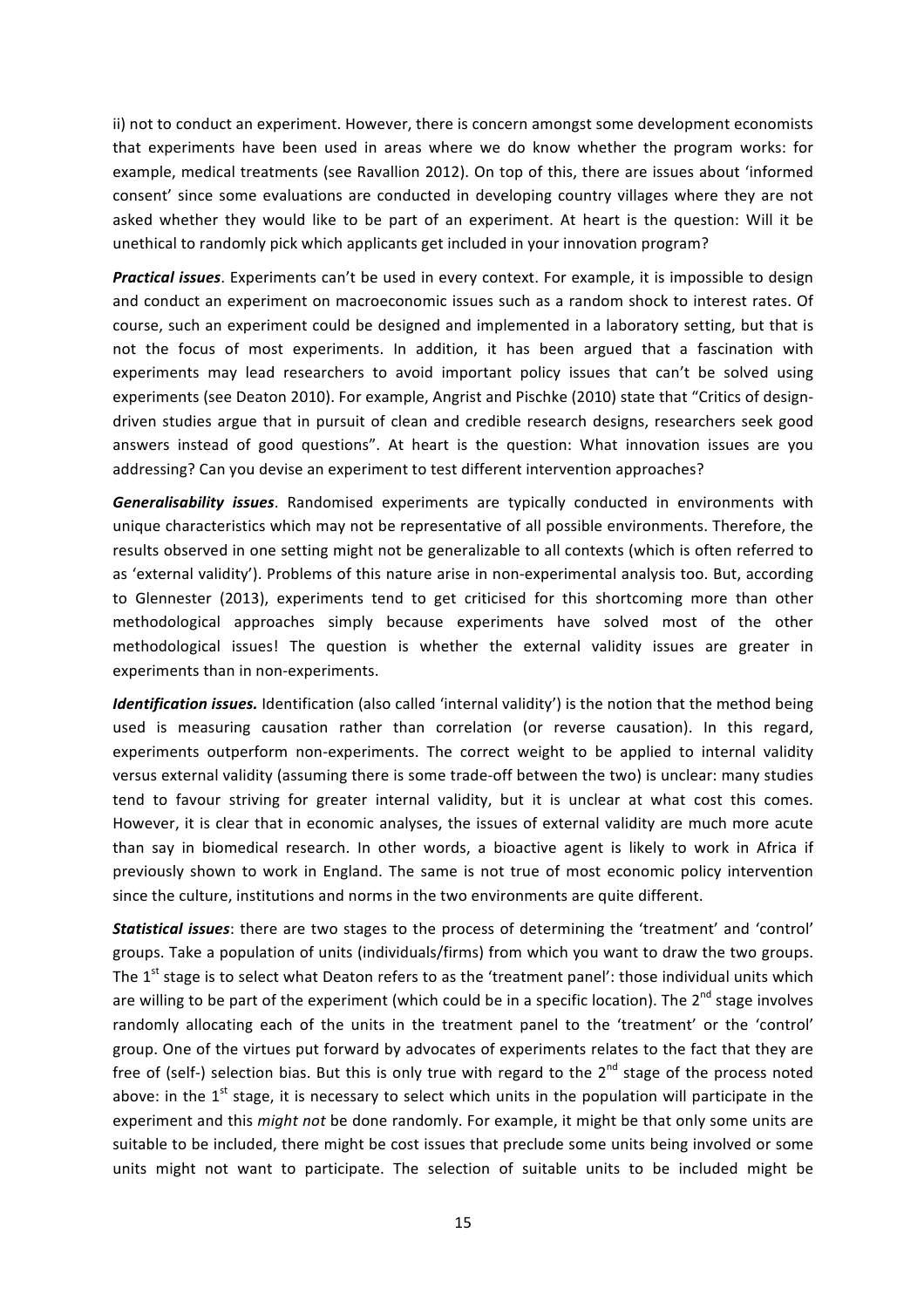ii) not to conduct an experiment. However, there is concern amongst some development economists that experiments have been used in areas where we do know whether the program works: for example, medical treatments (see Ravallion 2012). On top of this, there are issues about 'informed consent' since some evaluations are conducted in developing country villages where they are not asked whether they would like to be part of an experiment. At heart is the question: Will it be unethical to randomly pick which applicants get included in your innovation program?

**Practical issues**. Experiments can't be used in every context. For example, it is impossible to design and conduct an experiment on macroeconomic issues such as a random shock to interest rates. Of course, such an experiment could be designed and implemented in a laboratory setting, but that is not the focus of most experiments. In addition, it has been argued that a fascination with experiments may lead researchers to avoid important policy issues that can't be solved using experiments (see Deaton 2010). For example, Angrist and Pischke (2010) state that "Critics of designdriven studies argue that in pursuit of clean and credible research designs, researchers seek good answers instead of good questions". At heart is the question: What innovation issues are you addressing? Can you devise an experiment to test different intervention approaches?

Generalisability issues. Randomised experiments are typically conducted in environments with unique characteristics which may not be representative of all possible environments. Therefore, the results observed in one setting might not be generalizable to all contexts (which is often referred to as 'external validity'). Problems of this nature arise in non-experimental analysis too. But, according to Glennester (2013), experiments tend to get criticised for this shortcoming more than other methodological approaches simply because experiments have solved most of the other methodological issues! The question is whether the external validity issues are greater in experiments than in non-experiments.

*Identification issues.* Identification (also called 'internal validity') is the notion that the method being used is measuring causation rather than correlation (or reverse causation). In this regard, experiments outperform non-experiments. The correct weight to be applied to internal validity versus external validity (assuming there is some trade-off between the two) is unclear: many studies tend to favour striving for greater internal validity, but it is unclear at what cost this comes. However, it is clear that in economic analyses, the issues of external validity are much more acute than say in biomedical research. In other words, a bioactive agent is likely to work in Africa if previously shown to work in England. The same is not true of most economic policy intervention since the culture, institutions and norms in the two environments are quite different.

**Statistical issues**: there are two stages to the process of determining the 'treatment' and 'control' groups. Take a population of units (individuals/firms) from which you want to draw the two groups. The  $1<sup>st</sup>$  stage is to select what Deaton refers to as the 'treatment panel': those individual units which are willing to be part of the experiment (which could be in a specific location). The  $2^{nd}$  stage involves randomly allocating each of the units in the treatment panel to the 'treatment' or the 'control' group. One of the virtues put forward by advocates of experiments relates to the fact that they are free of (self-) selection bias. But this is only true with regard to the  $2^{nd}$  stage of the process noted above: in the  $1^{st}$  stage, it is necessary to select which units in the population will participate in the experiment and this *might not* be done randomly. For example, it might be that only some units are suitable to be included, there might be cost issues that preclude some units being involved or some units might not want to participate. The selection of suitable units to be included might be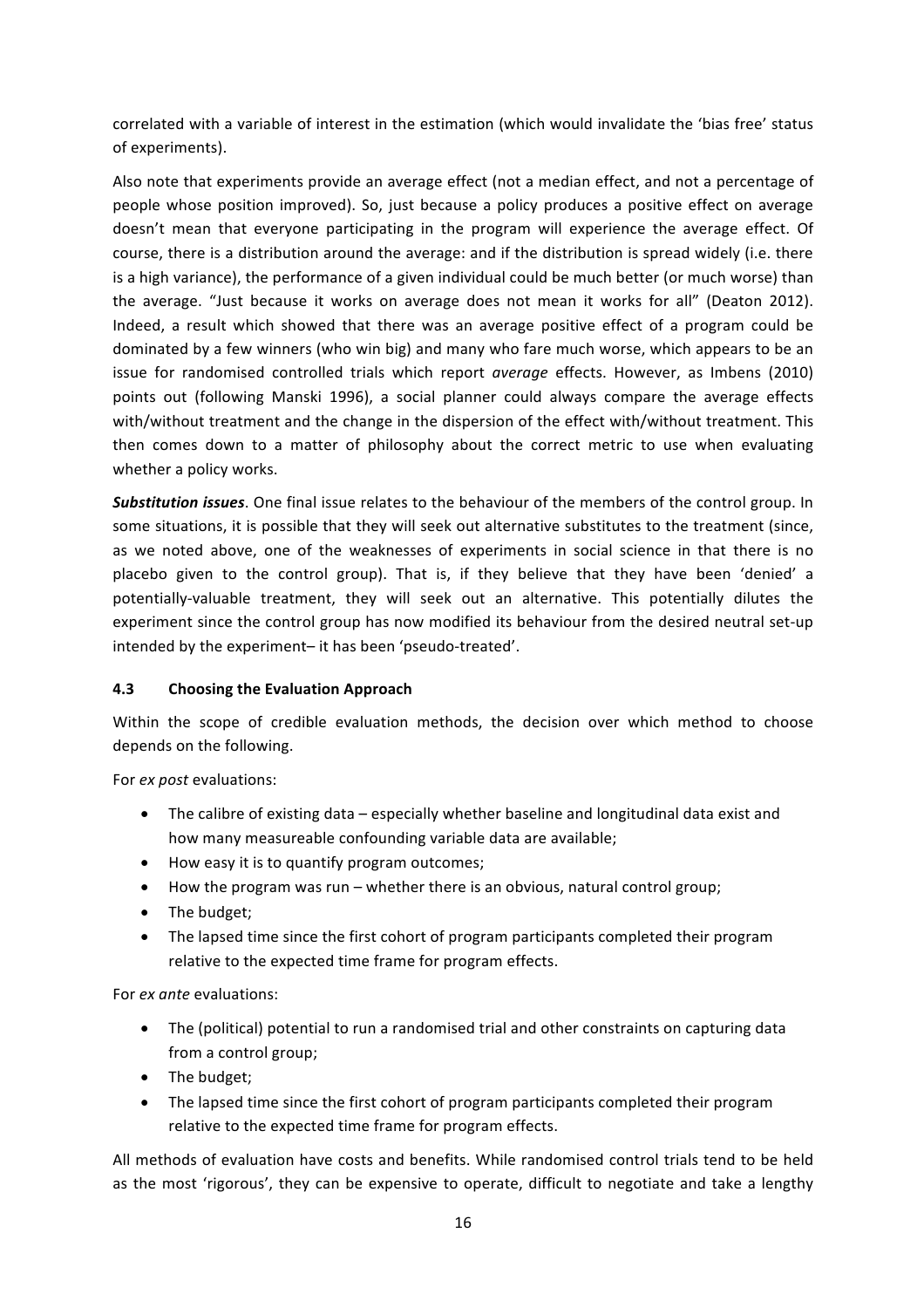correlated with a variable of interest in the estimation (which would invalidate the 'bias free' status of experiments).

Also note that experiments provide an average effect (not a median effect, and not a percentage of people whose position improved). So, just because a policy produces a positive effect on average doesn't mean that everyone participating in the program will experience the average effect. Of course, there is a distribution around the average: and if the distribution is spread widely (i.e. there is a high variance), the performance of a given individual could be much better (or much worse) than the average. "Just because it works on average does not mean it works for all" (Deaton 2012). Indeed, a result which showed that there was an average positive effect of a program could be dominated by a few winners (who win big) and many who fare much worse, which appears to be an issue for randomised controlled trials which report *average* effects. However, as Imbens (2010) points out (following Manski 1996), a social planner could always compare the average effects with/without treatment and the change in the dispersion of the effect with/without treatment. This then comes down to a matter of philosophy about the correct metric to use when evaluating whether a policy works.

**Substitution issues**. One final issue relates to the behaviour of the members of the control group. In some situations, it is possible that they will seek out alternative substitutes to the treatment (since, as we noted above, one of the weaknesses of experiments in social science in that there is no placebo given to the control group). That is, if they believe that they have been 'denied' a potentially-valuable treatment, they will seek out an alternative. This potentially dilutes the experiment since the control group has now modified its behaviour from the desired neutral set-up intended by the experiment- it has been 'pseudo-treated'.

#### **4.3 Choosing the Evaluation Approach**

Within the scope of credible evaluation methods, the decision over which method to choose depends on the following.

For *ex post* evaluations:

- The calibre of existing data especially whether baseline and longitudinal data exist and how many measureable confounding variable data are available;
- How easy it is to quantify program outcomes;
- How the program was run whether there is an obvious, natural control group;
- The budget;
- The lapsed time since the first cohort of program participants completed their program relative to the expected time frame for program effects.

For *ex ante* evaluations:

- The (political) potential to run a randomised trial and other constraints on capturing data from a control group;
- The budget;
- The lapsed time since the first cohort of program participants completed their program relative to the expected time frame for program effects.

All methods of evaluation have costs and benefits. While randomised control trials tend to be held as the most 'rigorous', they can be expensive to operate, difficult to negotiate and take a lengthy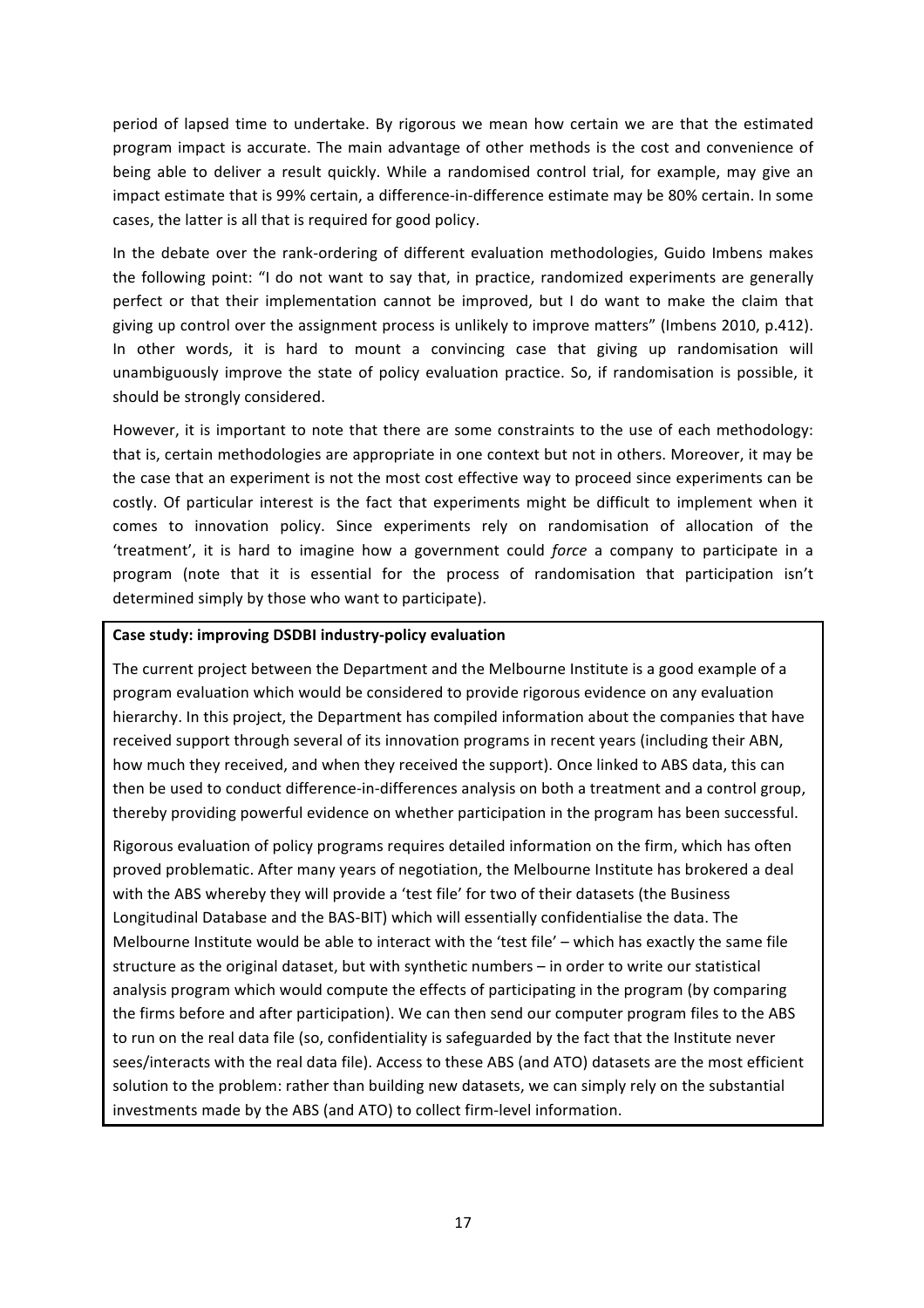period of lapsed time to undertake. By rigorous we mean how certain we are that the estimated program impact is accurate. The main advantage of other methods is the cost and convenience of being able to deliver a result quickly. While a randomised control trial, for example, may give an impact estimate that is 99% certain, a difference-in-difference estimate may be 80% certain. In some cases, the latter is all that is required for good policy.

In the debate over the rank-ordering of different evaluation methodologies, Guido Imbens makes the following point: "I do not want to say that, in practice, randomized experiments are generally perfect or that their implementation cannot be improved, but I do want to make the claim that giving up control over the assignment process is unlikely to improve matters" (Imbens 2010, p.412). In other words, it is hard to mount a convincing case that giving up randomisation will unambiguously improve the state of policy evaluation practice. So, if randomisation is possible, it should be strongly considered.

However, it is important to note that there are some constraints to the use of each methodology: that is, certain methodologies are appropriate in one context but not in others. Moreover, it may be the case that an experiment is not the most cost effective way to proceed since experiments can be costly. Of particular interest is the fact that experiments might be difficult to implement when it comes to innovation policy. Since experiments rely on randomisation of allocation of the 'treatment', it is hard to imagine how a government could *force* a company to participate in a program (note that it is essential for the process of randomisation that participation isn't determined simply by those who want to participate).

#### Case study: improving DSDBI industry-policy evaluation

The current project between the Department and the Melbourne Institute is a good example of a program evaluation which would be considered to provide rigorous evidence on any evaluation hierarchy. In this project, the Department has compiled information about the companies that have received support through several of its innovation programs in recent years (including their ABN, how much they received, and when they received the support). Once linked to ABS data, this can then be used to conduct difference-in-differences analysis on both a treatment and a control group, thereby providing powerful evidence on whether participation in the program has been successful.

Rigorous evaluation of policy programs requires detailed information on the firm, which has often proved problematic. After many years of negotiation, the Melbourne Institute has brokered a deal with the ABS whereby they will provide a 'test file' for two of their datasets (the Business Longitudinal Database and the BAS-BIT) which will essentially confidentialise the data. The Melbourne Institute would be able to interact with the 'test file' – which has exactly the same file structure as the original dataset, but with synthetic numbers – in order to write our statistical analysis program which would compute the effects of participating in the program (by comparing the firms before and after participation). We can then send our computer program files to the ABS to run on the real data file (so, confidentiality is safeguarded by the fact that the Institute never sees/interacts with the real data file). Access to these ABS (and ATO) datasets are the most efficient solution to the problem: rather than building new datasets, we can simply rely on the substantial investments made by the ABS (and ATO) to collect firm-level information.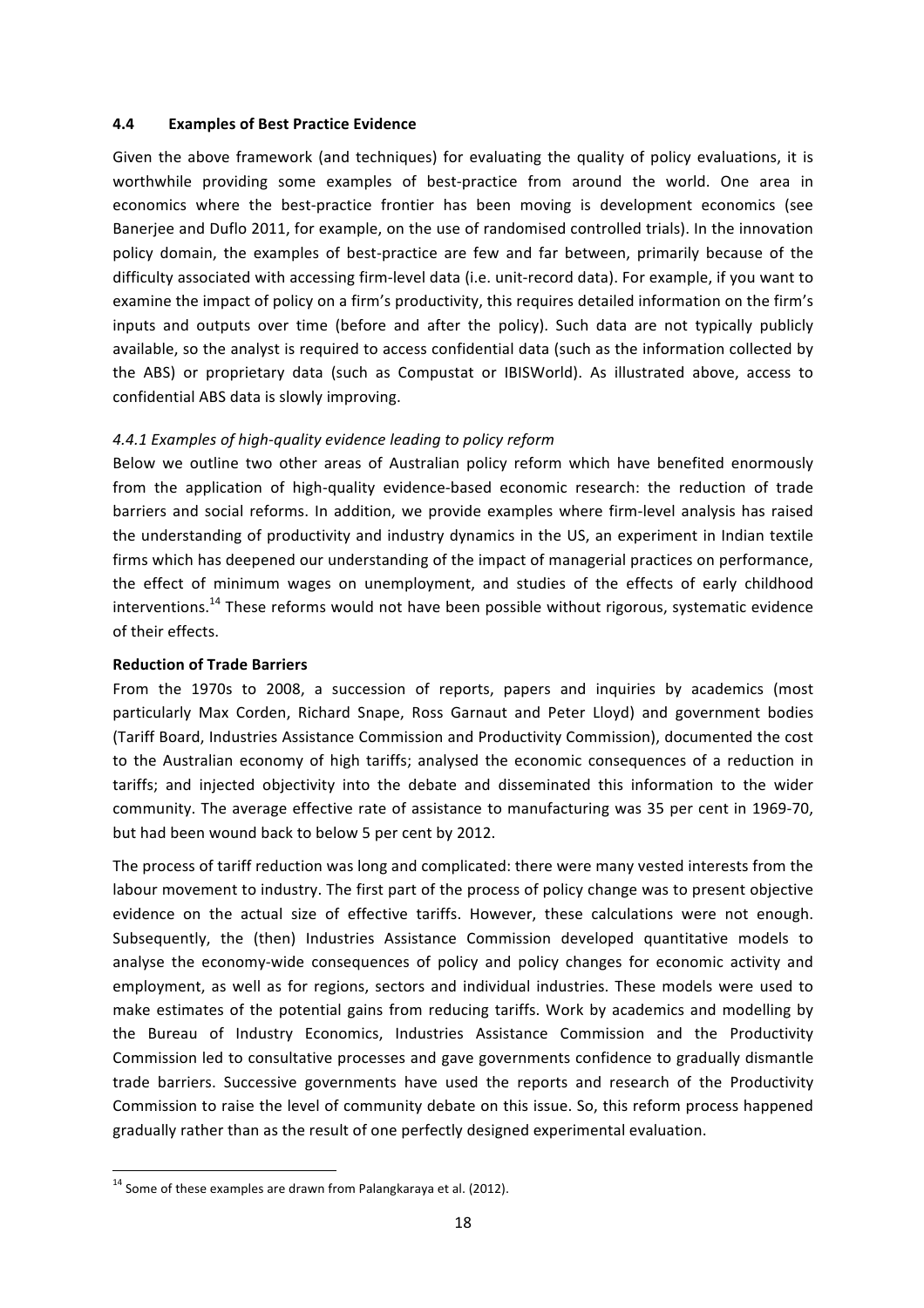#### **4.4 Examples of Best Practice Evidence**

Given the above framework (and techniques) for evaluating the quality of policy evaluations, it is worthwhile providing some examples of best-practice from around the world. One area in economics where the best-practice frontier has been moving is development economics (see Banerjee and Duflo 2011, for example, on the use of randomised controlled trials). In the innovation policy domain, the examples of best-practice are few and far between, primarily because of the difficulty associated with accessing firm-level data (i.e. unit-record data). For example, if you want to examine the impact of policy on a firm's productivity, this requires detailed information on the firm's inputs and outputs over time (before and after the policy). Such data are not typically publicly available, so the analyst is required to access confidential data (such as the information collected by the ABS) or proprietary data (such as Compustat or IBISWorld). As illustrated above, access to confidential ABS data is slowly improving.

#### *4.4.1 Examples of high-quality evidence leading to policy reform*

Below we outline two other areas of Australian policy reform which have benefited enormously from the application of high-quality evidence-based economic research: the reduction of trade barriers and social reforms. In addition, we provide examples where firm-level analysis has raised the understanding of productivity and industry dynamics in the US, an experiment in Indian textile firms which has deepened our understanding of the impact of managerial practices on performance, the effect of minimum wages on unemployment, and studies of the effects of early childhood interventions.<sup>14</sup> These reforms would not have been possible without rigorous, systematic evidence of their effects.

#### **Reduction of Trade Barriers**

From the 1970s to 2008, a succession of reports, papers and inquiries by academics (most particularly Max Corden, Richard Snape, Ross Garnaut and Peter Lloyd) and government bodies (Tariff Board, Industries Assistance Commission and Productivity Commission), documented the cost to the Australian economy of high tariffs; analysed the economic consequences of a reduction in tariffs; and injected objectivity into the debate and disseminated this information to the wider community. The average effective rate of assistance to manufacturing was 35 per cent in 1969-70, but had been wound back to below 5 per cent by 2012.

The process of tariff reduction was long and complicated: there were many vested interests from the labour movement to industry. The first part of the process of policy change was to present objective evidence on the actual size of effective tariffs. However, these calculations were not enough. Subsequently, the (then) Industries Assistance Commission developed quantitative models to analyse the economy-wide consequences of policy and policy changes for economic activity and employment, as well as for regions, sectors and individual industries. These models were used to make estimates of the potential gains from reducing tariffs. Work by academics and modelling by the Bureau of Industry Economics, Industries Assistance Commission and the Productivity Commission led to consultative processes and gave governments confidence to gradually dismantle trade barriers. Successive governments have used the reports and research of the Productivity Commission to raise the level of community debate on this issue. So, this reform process happened gradually rather than as the result of one perfectly designed experimental evaluation.

 $14$  Some of these examples are drawn from Palangkaraya et al. (2012).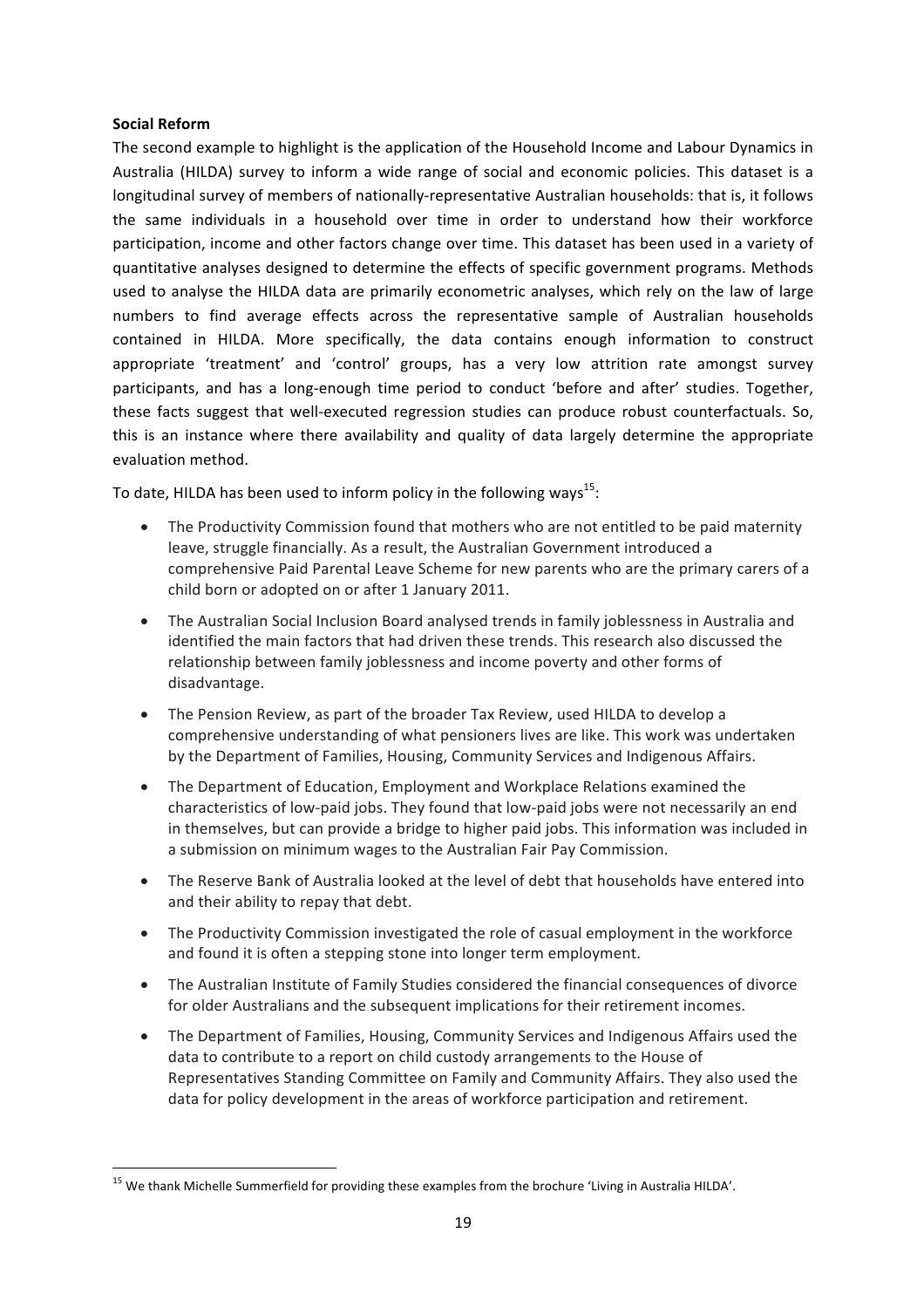#### **Social Reform**

The second example to highlight is the application of the Household Income and Labour Dynamics in Australia (HILDA) survey to inform a wide range of social and economic policies. This dataset is a longitudinal survey of members of nationally-representative Australian households: that is, it follows the same individuals in a household over time in order to understand how their workforce participation, income and other factors change over time. This dataset has been used in a variety of quantitative analyses designed to determine the effects of specific government programs. Methods used to analyse the HILDA data are primarily econometric analyses, which rely on the law of large numbers to find average effects across the representative sample of Australian households contained in HILDA. More specifically, the data contains enough information to construct appropriate 'treatment' and 'control' groups, has a very low attrition rate amongst survey participants, and has a long-enough time period to conduct 'before and after' studies. Together, these facts suggest that well-executed regression studies can produce robust counterfactuals. So, this is an instance where there availability and quality of data largely determine the appropriate evaluation method. 

To date, HILDA has been used to inform policy in the following ways<sup>15</sup>:

- The Productivity Commission found that mothers who are not entitled to be paid maternity leave, struggle financially. As a result, the Australian Government introduced a comprehensive Paid Parental Leave Scheme for new parents who are the primary carers of a child born or adopted on or after 1 January 2011.
- The Australian Social Inclusion Board analysed trends in family joblessness in Australia and identified the main factors that had driven these trends. This research also discussed the relationship between family joblessness and income poverty and other forms of disadvantage.
- The Pension Review, as part of the broader Tax Review, used HILDA to develop a comprehensive understanding of what pensioners lives are like. This work was undertaken by the Department of Families, Housing, Community Services and Indigenous Affairs.
- The Department of Education, Employment and Workplace Relations examined the characteristics of low-paid jobs. They found that low-paid jobs were not necessarily an end in themselves, but can provide a bridge to higher paid jobs. This information was included in a submission on minimum wages to the Australian Fair Pay Commission.
- The Reserve Bank of Australia looked at the level of debt that households have entered into and their ability to repay that debt.
- The Productivity Commission investigated the role of casual employment in the workforce and found it is often a stepping stone into longer term employment.
- The Australian Institute of Family Studies considered the financial consequences of divorce for older Australians and the subsequent implications for their retirement incomes.
- The Department of Families, Housing, Community Services and Indigenous Affairs used the data to contribute to a report on child custody arrangements to the House of Representatives Standing Committee on Family and Community Affairs. They also used the data for policy development in the areas of workforce participation and retirement.

<sup>&</sup>lt;sup>15</sup> We thank Michelle Summerfield for providing these examples from the brochure 'Living in Australia HILDA'.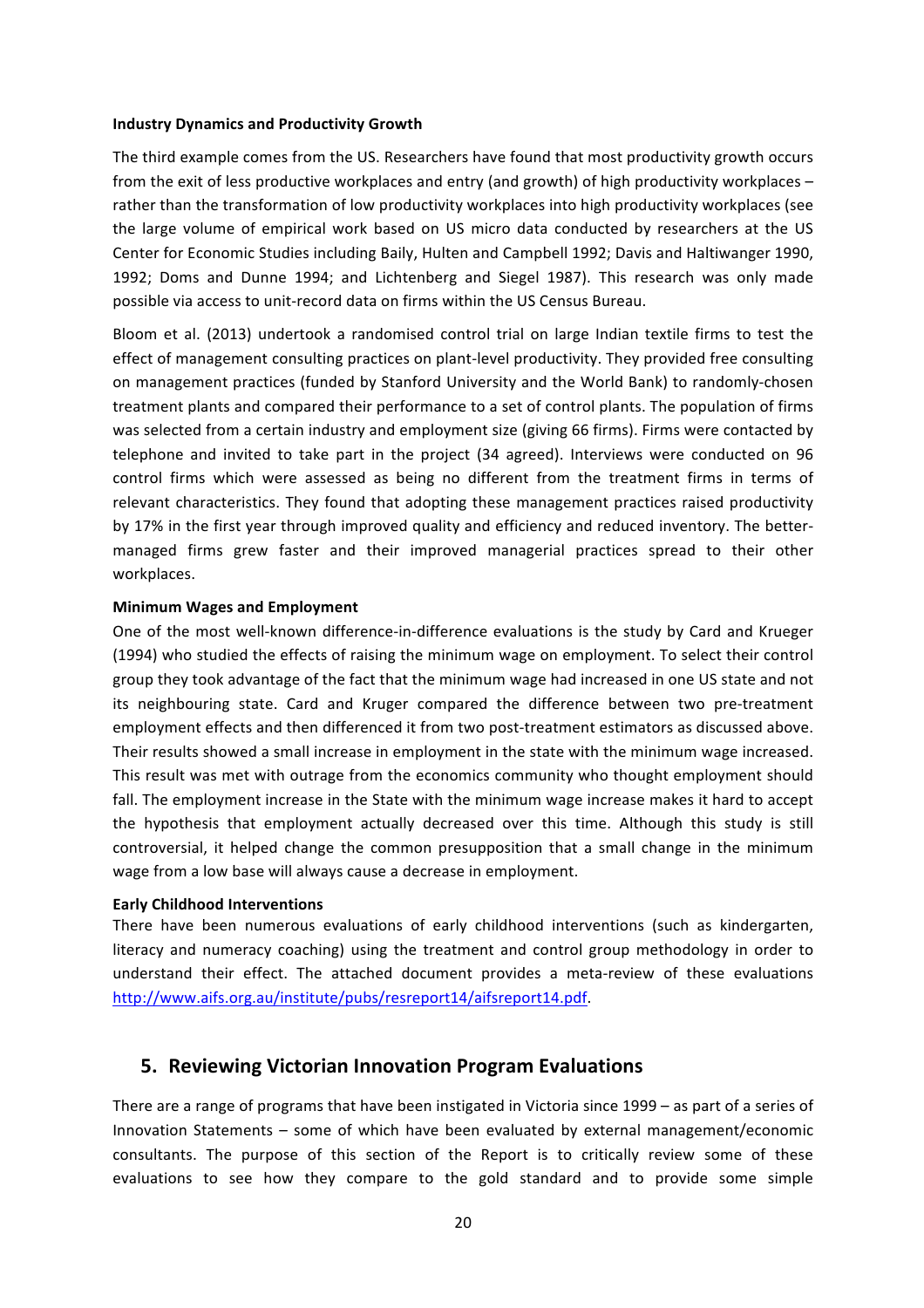#### **Industry Dynamics and Productivity Growth**

The third example comes from the US. Researchers have found that most productivity growth occurs from the exit of less productive workplaces and entry (and growth) of high productivity workplaces  $$ rather than the transformation of low productivity workplaces into high productivity workplaces (see the large volume of empirical work based on US micro data conducted by researchers at the US Center for Economic Studies including Baily, Hulten and Campbell 1992; Davis and Haltiwanger 1990, 1992; Doms and Dunne 1994; and Lichtenberg and Siegel 1987). This research was only made possible via access to unit-record data on firms within the US Census Bureau.

Bloom et al. (2013) undertook a randomised control trial on large Indian textile firms to test the effect of management consulting practices on plant-level productivity. They provided free consulting on management practices (funded by Stanford University and the World Bank) to randomly-chosen treatment plants and compared their performance to a set of control plants. The population of firms was selected from a certain industry and employment size (giving 66 firms). Firms were contacted by telephone and invited to take part in the project (34 agreed). Interviews were conducted on 96 control firms which were assessed as being no different from the treatment firms in terms of relevant characteristics. They found that adopting these management practices raised productivity by 17% in the first year through improved quality and efficiency and reduced inventory. The bettermanaged firms grew faster and their improved managerial practices spread to their other workplaces.

#### **Minimum Wages and Employment**

One of the most well-known difference-in-difference evaluations is the study by Card and Krueger (1994) who studied the effects of raising the minimum wage on employment. To select their control group they took advantage of the fact that the minimum wage had increased in one US state and not its neighbouring state. Card and Kruger compared the difference between two pre-treatment employment effects and then differenced it from two post-treatment estimators as discussed above. Their results showed a small increase in employment in the state with the minimum wage increased. This result was met with outrage from the economics community who thought employment should fall. The employment increase in the State with the minimum wage increase makes it hard to accept the hypothesis that employment actually decreased over this time. Although this study is still controversial, it helped change the common presupposition that a small change in the minimum wage from a low base will always cause a decrease in employment.

#### **Early Childhood Interventions**

There have been numerous evaluations of early childhood interventions (such as kindergarten, literacy and numeracy coaching) using the treatment and control group methodology in order to understand their effect. The attached document provides a meta-review of these evaluations http://www.aifs.org.au/institute/pubs/resreport14/aifsreport14.pdf.

# **5.** Reviewing Victorian Innovation Program Evaluations

There are a range of programs that have been instigated in Victoria since  $1999 -$  as part of a series of Innovation Statements - some of which have been evaluated by external management/economic consultants. The purpose of this section of the Report is to critically review some of these evaluations to see how they compare to the gold standard and to provide some simple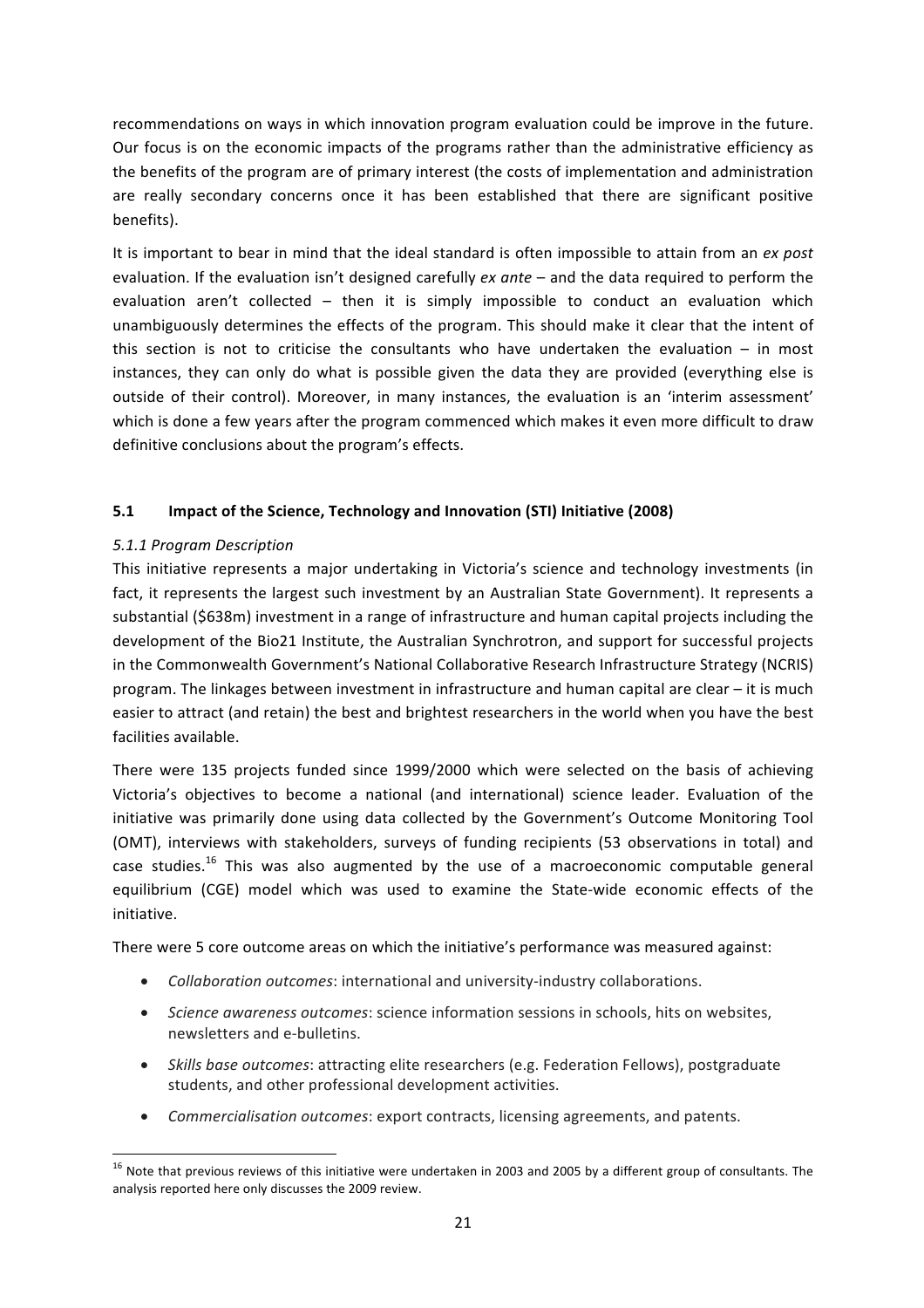recommendations on ways in which innovation program evaluation could be improve in the future. Our focus is on the economic impacts of the programs rather than the administrative efficiency as the benefits of the program are of primary interest (the costs of implementation and administration are really secondary concerns once it has been established that there are significant positive benefits). 

It is important to bear in mind that the ideal standard is often impossible to attain from an *ex post* evaluation. If the evaluation isn't designed carefully *ex ante* – and the data required to perform the evaluation aren't collected  $-$  then it is simply impossible to conduct an evaluation which unambiguously determines the effects of the program. This should make it clear that the intent of this section is not to criticise the consultants who have undertaken the evaluation – in most instances, they can only do what is possible given the data they are provided (everything else is outside of their control). Moreover, in many instances, the evaluation is an 'interim assessment' which is done a few years after the program commenced which makes it even more difficult to draw definitive conclusions about the program's effects.

# **5.1 Impact of the Science, Technology and Innovation (STI) Initiative (2008)**

#### *5.1.1 Program Description*

This initiative represents a major undertaking in Victoria's science and technology investments (in fact, it represents the largest such investment by an Australian State Government). It represents a substantial (\$638m) investment in a range of infrastructure and human capital projects including the development of the Bio21 Institute, the Australian Synchrotron, and support for successful projects in the Commonwealth Government's National Collaborative Research Infrastructure Strategy (NCRIS) program. The linkages between investment in infrastructure and human capital are clear – it is much easier to attract (and retain) the best and brightest researchers in the world when you have the best facilities available.

There were 135 projects funded since 1999/2000 which were selected on the basis of achieving Victoria's objectives to become a national (and international) science leader. Evaluation of the initiative was primarily done using data collected by the Government's Outcome Monitoring Tool (OMT), interviews with stakeholders, surveys of funding recipients (53 observations in total) and case studies.<sup>16</sup> This was also augmented by the use of a macroeconomic computable general equilibrium (CGE) model which was used to examine the State-wide economic effects of the initiative. 

There were 5 core outcome areas on which the initiative's performance was measured against:

- *Collaboration outcomes:* international and university-industry collaborations.
- *Science awareness outcomes*: science information sessions in schools, hits on websites, newsletters and e-bulletins.
- *Skills base outcomes*: attracting elite researchers (e.g. Federation Fellows), postgraduate students, and other professional development activities.
- *Commercialisation outcomes*: export contracts, licensing agreements, and patents.

 $16$  Note that previous reviews of this initiative were undertaken in 2003 and 2005 by a different group of consultants. The analysis reported here only discusses the 2009 review.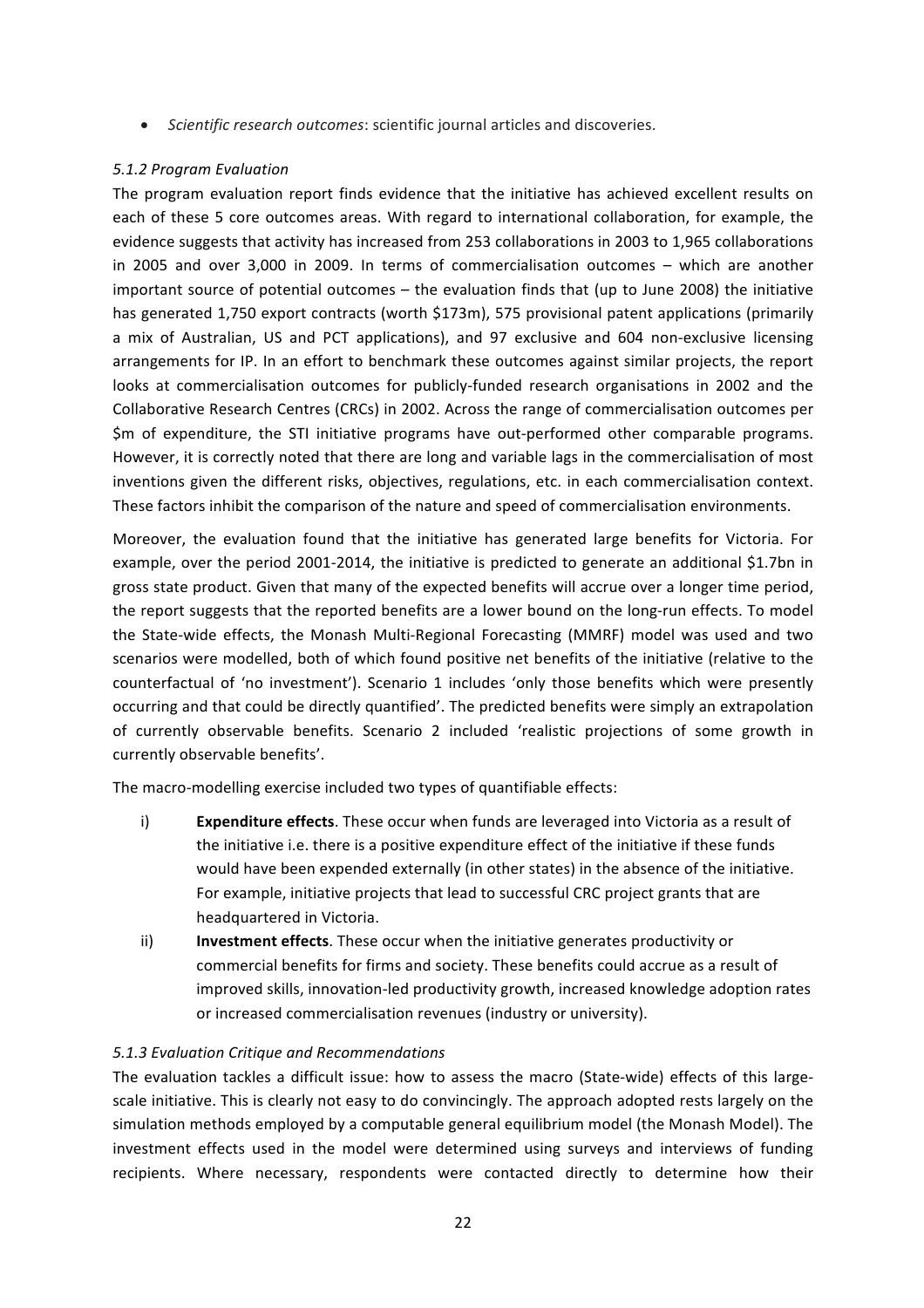• Scientific research outcomes: scientific journal articles and discoveries.

### *5.1.2 Program Evaluation*

The program evaluation report finds evidence that the initiative has achieved excellent results on each of these 5 core outcomes areas. With regard to international collaboration, for example, the evidence suggests that activity has increased from 253 collaborations in 2003 to 1,965 collaborations in 2005 and over 3,000 in 2009. In terms of commercialisation outcomes – which are another important source of potential outcomes  $-$  the evaluation finds that (up to June 2008) the initiative has generated 1,750 export contracts (worth \$173m), 575 provisional patent applications (primarily a mix of Australian, US and PCT applications), and 97 exclusive and 604 non-exclusive licensing arrangements for IP. In an effort to benchmark these outcomes against similar projects, the report looks at commercialisation outcomes for publicly-funded research organisations in 2002 and the Collaborative Research Centres (CRCs) in 2002. Across the range of commercialisation outcomes per \$m of expenditure, the STI initiative programs have out-performed other comparable programs. However, it is correctly noted that there are long and variable lags in the commercialisation of most inventions given the different risks, objectives, regulations, etc. in each commercialisation context. These factors inhibit the comparison of the nature and speed of commercialisation environments.

Moreover, the evaluation found that the initiative has generated large benefits for Victoria. For example, over the period 2001-2014, the initiative is predicted to generate an additional \$1.7bn in gross state product. Given that many of the expected benefits will accrue over a longer time period, the report suggests that the reported benefits are a lower bound on the long-run effects. To model the State-wide effects, the Monash Multi-Regional Forecasting (MMRF) model was used and two scenarios were modelled, both of which found positive net benefits of the initiative (relative to the counterfactual of 'no investment'). Scenario 1 includes 'only those benefits which were presently occurring and that could be directly quantified'. The predicted benefits were simply an extrapolation of currently observable benefits. Scenario 2 included 'realistic projections of some growth in currently observable benefits'.

The macro-modelling exercise included two types of quantifiable effects:

- i) **Expenditure effects**. These occur when funds are leveraged into Victoria as a result of the initiative i.e. there is a positive expenditure effect of the initiative if these funds would have been expended externally (in other states) in the absence of the initiative. For example, initiative projects that lead to successful CRC project grants that are headquartered in Victoria.
- ii) **Investment effects**. These occur when the initiative generates productivity or commercial benefits for firms and society. These benefits could accrue as a result of improved skills, innovation-led productivity growth, increased knowledge adoption rates or increased commercialisation revenues (industry or university).

# *5.1.3 Evaluation Critique and Recommendations*

The evaluation tackles a difficult issue: how to assess the macro (State-wide) effects of this largescale initiative. This is clearly not easy to do convincingly. The approach adopted rests largely on the simulation methods employed by a computable general equilibrium model (the Monash Model). The investment effects used in the model were determined using surveys and interviews of funding recipients. Where necessary, respondents were contacted directly to determine how their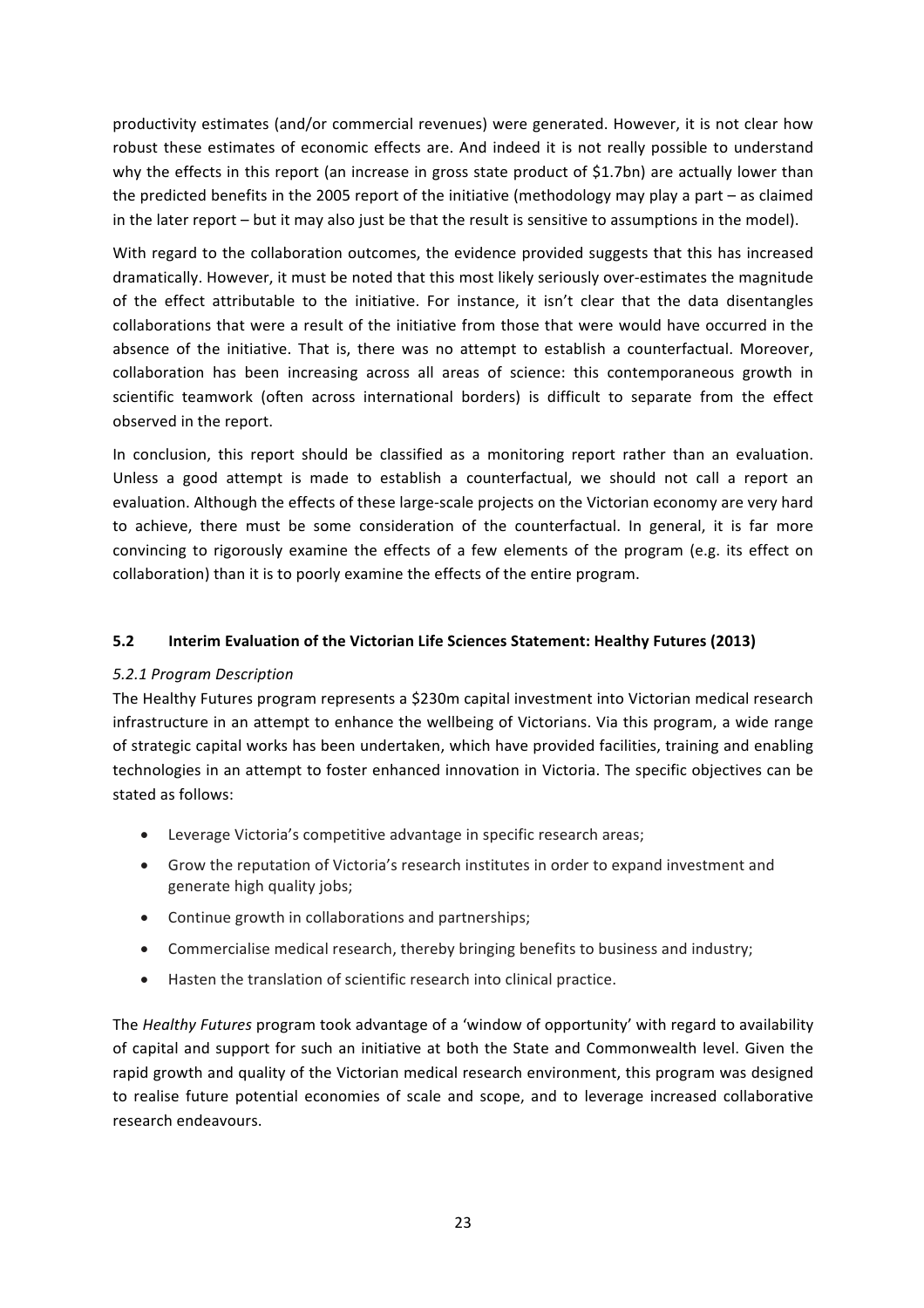productivity estimates (and/or commercial revenues) were generated. However, it is not clear how robust these estimates of economic effects are. And indeed it is not really possible to understand why the effects in this report (an increase in gross state product of \$1.7bn) are actually lower than the predicted benefits in the 2005 report of the initiative (methodology may play a part – as claimed in the later report – but it may also just be that the result is sensitive to assumptions in the model).

With regard to the collaboration outcomes, the evidence provided suggests that this has increased dramatically. However, it must be noted that this most likely seriously over-estimates the magnitude of the effect attributable to the initiative. For instance, it isn't clear that the data disentangles collaborations that were a result of the initiative from those that were would have occurred in the absence of the initiative. That is, there was no attempt to establish a counterfactual. Moreover, collaboration has been increasing across all areas of science: this contemporaneous growth in scientific teamwork (often across international borders) is difficult to separate from the effect observed in the report.

In conclusion, this report should be classified as a monitoring report rather than an evaluation. Unless a good attempt is made to establish a counterfactual, we should not call a report an evaluation. Although the effects of these large-scale projects on the Victorian economy are very hard to achieve, there must be some consideration of the counterfactual. In general, it is far more convincing to rigorously examine the effects of a few elements of the program (e.g. its effect on collaboration) than it is to poorly examine the effects of the entire program.

#### **5.2 Interim Evaluation of the Victorian Life Sciences Statement: Healthy Futures (2013)**

#### *5.2.1 Program Description*

The Healthy Futures program represents a \$230m capital investment into Victorian medical research infrastructure in an attempt to enhance the wellbeing of Victorians. Via this program, a wide range of strategic capital works has been undertaken, which have provided facilities, training and enabling technologies in an attempt to foster enhanced innovation in Victoria. The specific objectives can be stated as follows:

- Leverage Victoria's competitive advantage in specific research areas;
- Grow the reputation of Victoria's research institutes in order to expand investment and generate high quality jobs;
- Continue growth in collaborations and partnerships;
- Commercialise medical research, thereby bringing benefits to business and industry;
- Hasten the translation of scientific research into clinical practice.

The *Healthy Futures* program took advantage of a 'window of opportunity' with regard to availability of capital and support for such an initiative at both the State and Commonwealth level. Given the rapid growth and quality of the Victorian medical research environment, this program was designed to realise future potential economies of scale and scope, and to leverage increased collaborative research endeavours.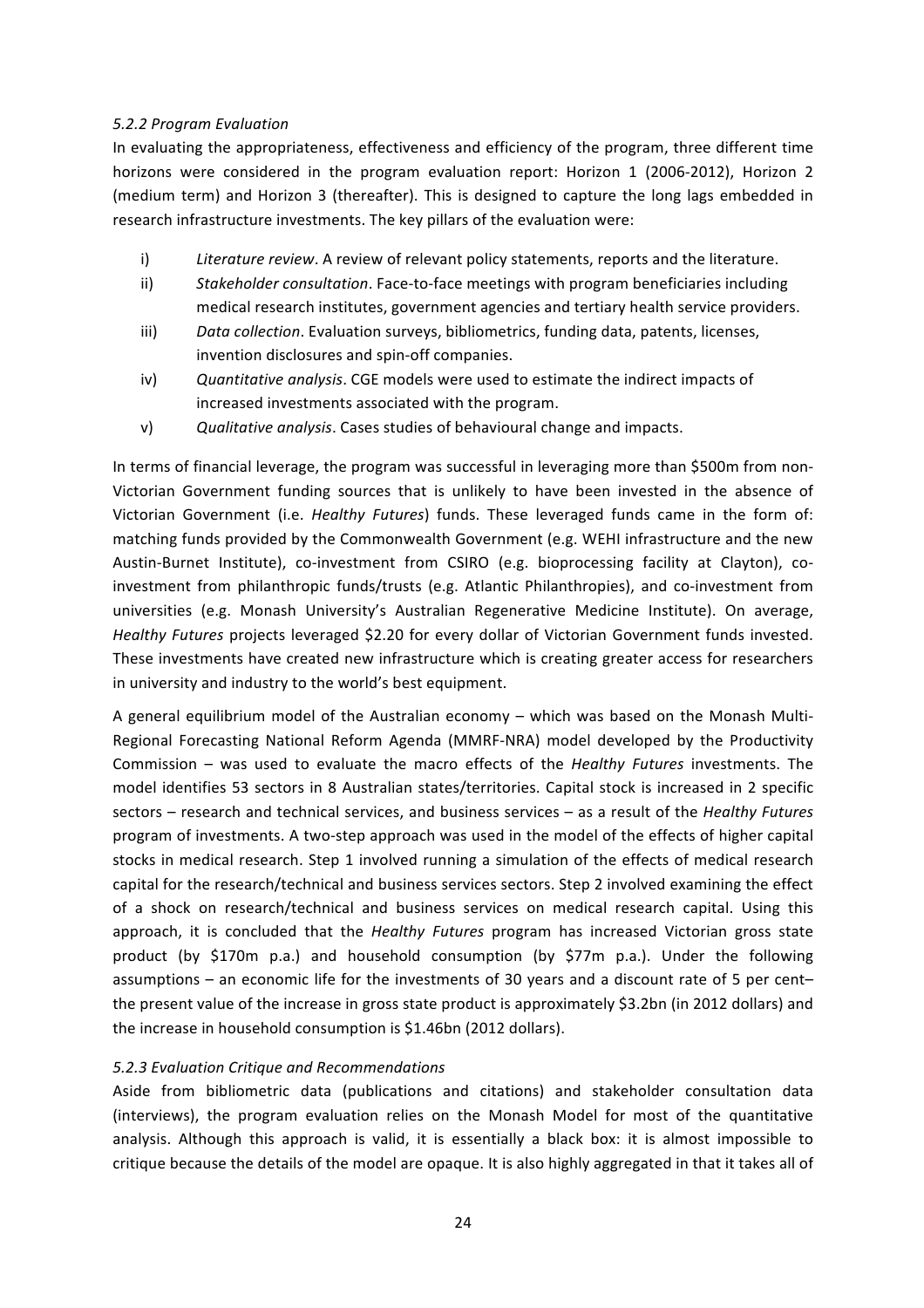#### *5.2.2 Program Evaluation*

In evaluating the appropriateness, effectiveness and efficiency of the program, three different time horizons were considered in the program evaluation report: Horizon 1 (2006-2012), Horizon 2 (medium term) and Horizon 3 (thereafter). This is designed to capture the long lags embedded in research infrastructure investments. The key pillars of the evaluation were:

- i) *Literature review*. A review of relevant policy statements, reports and the literature.
- ii) *Stakeholder consultation*. Face-to-face meetings with program beneficiaries including medical research institutes, government agencies and tertiary health service providers.
- iii) *Data collection*. Evaluation surveys, bibliometrics, funding data, patents, licenses, invention disclosures and spin-off companies.
- iv) Cuantitative analysis. CGE models were used to estimate the indirect impacts of increased investments associated with the program.
- v) *Qualitative analysis*. Cases studies of behavioural change and impacts.

In terms of financial leverage, the program was successful in leveraging more than \$500m from non-Victorian Government funding sources that is unlikely to have been invested in the absence of Victorian Government (i.e. *Healthy Futures*) funds. These leveraged funds came in the form of: matching funds provided by the Commonwealth Government (e.g. WEHI infrastructure and the new Austin-Burnet Institute), co-investment from CSIRO (e.g. bioprocessing facility at Clayton), coinvestment from philanthropic funds/trusts (e.g. Atlantic Philanthropies), and co-investment from universities (e.g. Monash University's Australian Regenerative Medicine Institute). On average, Healthy Futures projects leveraged \$2.20 for every dollar of Victorian Government funds invested. These investments have created new infrastructure which is creating greater access for researchers in university and industry to the world's best equipment.

A general equilibrium model of the Australian economy – which was based on the Monash Multi-Regional Forecasting National Reform Agenda (MMRF-NRA) model developed by the Productivity Commission – was used to evaluate the macro effects of the *Healthy Futures* investments. The model identifies 53 sectors in 8 Australian states/territories. Capital stock is increased in 2 specific sectors – research and technical services, and business services – as a result of the *Healthy Futures* program of investments. A two-step approach was used in the model of the effects of higher capital stocks in medical research. Step 1 involved running a simulation of the effects of medical research capital for the research/technical and business services sectors. Step 2 involved examining the effect of a shock on research/technical and business services on medical research capital. Using this approach, it is concluded that the *Healthy Futures* program has increased Victorian gross state product (by \$170m p.a.) and household consumption (by \$77m p.a.). Under the following assumptions – an economic life for the investments of 30 years and a discount rate of 5 per cent– the present value of the increase in gross state product is approximately \$3.2bn (in 2012 dollars) and the increase in household consumption is \$1.46bn (2012 dollars).

# *5.2.3 Evaluation Critique and Recommendations*

Aside from bibliometric data (publications and citations) and stakeholder consultation data (interviews), the program evaluation relies on the Monash Model for most of the quantitative analysis. Although this approach is valid, it is essentially a black box: it is almost impossible to critique because the details of the model are opaque. It is also highly aggregated in that it takes all of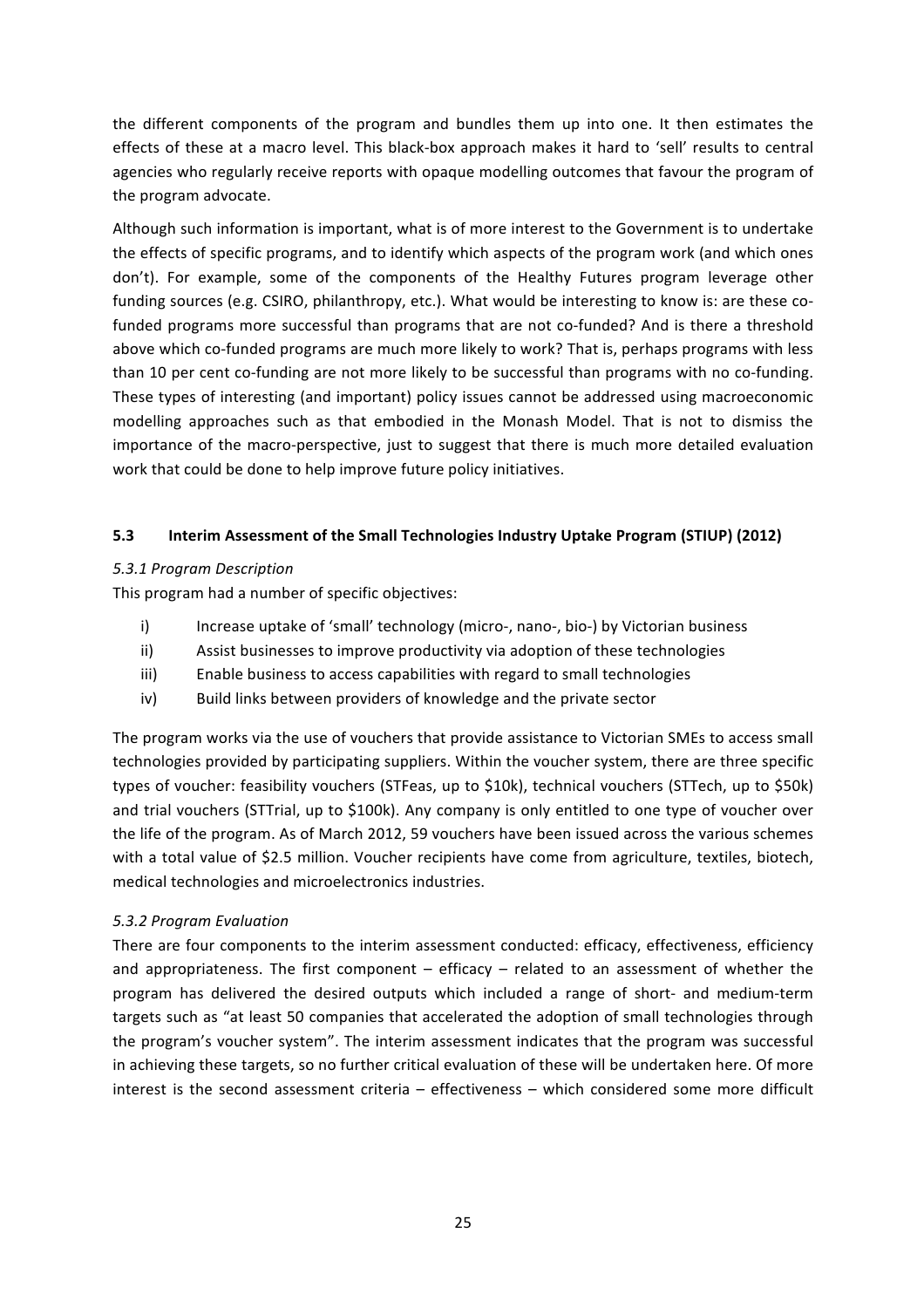the different components of the program and bundles them up into one. It then estimates the effects of these at a macro level. This black-box approach makes it hard to 'sell' results to central agencies who regularly receive reports with opaque modelling outcomes that favour the program of the program advocate.

Although such information is important, what is of more interest to the Government is to undertake the effects of specific programs, and to identify which aspects of the program work (and which ones don't). For example, some of the components of the Healthy Futures program leverage other funding sources (e.g. CSIRO, philanthropy, etc.). What would be interesting to know is: are these cofunded programs more successful than programs that are not co-funded? And is there a threshold above which co-funded programs are much more likely to work? That is, perhaps programs with less than 10 per cent co-funding are not more likely to be successful than programs with no co-funding. These types of interesting (and important) policy issues cannot be addressed using macroeconomic modelling approaches such as that embodied in the Monash Model. That is not to dismiss the importance of the macro-perspective, just to suggest that there is much more detailed evaluation work that could be done to help improve future policy initiatives.

# **5.3 Interim Assessment of the Small Technologies Industry Uptake Program (STIUP) (2012)**

#### *5.3.1 Program Description*

This program had a number of specific objectives:

- i) Increase uptake of 'small' technology (micro-, nano-, bio-) by Victorian business
- ii) Assist businesses to improve productivity via adoption of these technologies
- iii) Enable business to access capabilities with regard to small technologies
- iv) Build links between providers of knowledge and the private sector

The program works via the use of vouchers that provide assistance to Victorian SMEs to access small technologies provided by participating suppliers. Within the voucher system, there are three specific types of voucher: feasibility vouchers (STFeas, up to \$10k), technical vouchers (STTech, up to \$50k) and trial vouchers (STTrial, up to \$100k). Any company is only entitled to one type of voucher over the life of the program. As of March 2012, 59 vouchers have been issued across the various schemes with a total value of \$2.5 million. Voucher recipients have come from agriculture, textiles, biotech, medical technologies and microelectronics industries.

#### *5.3.2 Program Evaluation*

There are four components to the interim assessment conducted: efficacy, effectiveness, efficiency and appropriateness. The first component  $-$  efficacy  $-$  related to an assessment of whether the program has delivered the desired outputs which included a range of short- and medium-term targets such as "at least 50 companies that accelerated the adoption of small technologies through the program's voucher system". The interim assessment indicates that the program was successful in achieving these targets, so no further critical evaluation of these will be undertaken here. Of more interest is the second assessment criteria – effectiveness – which considered some more difficult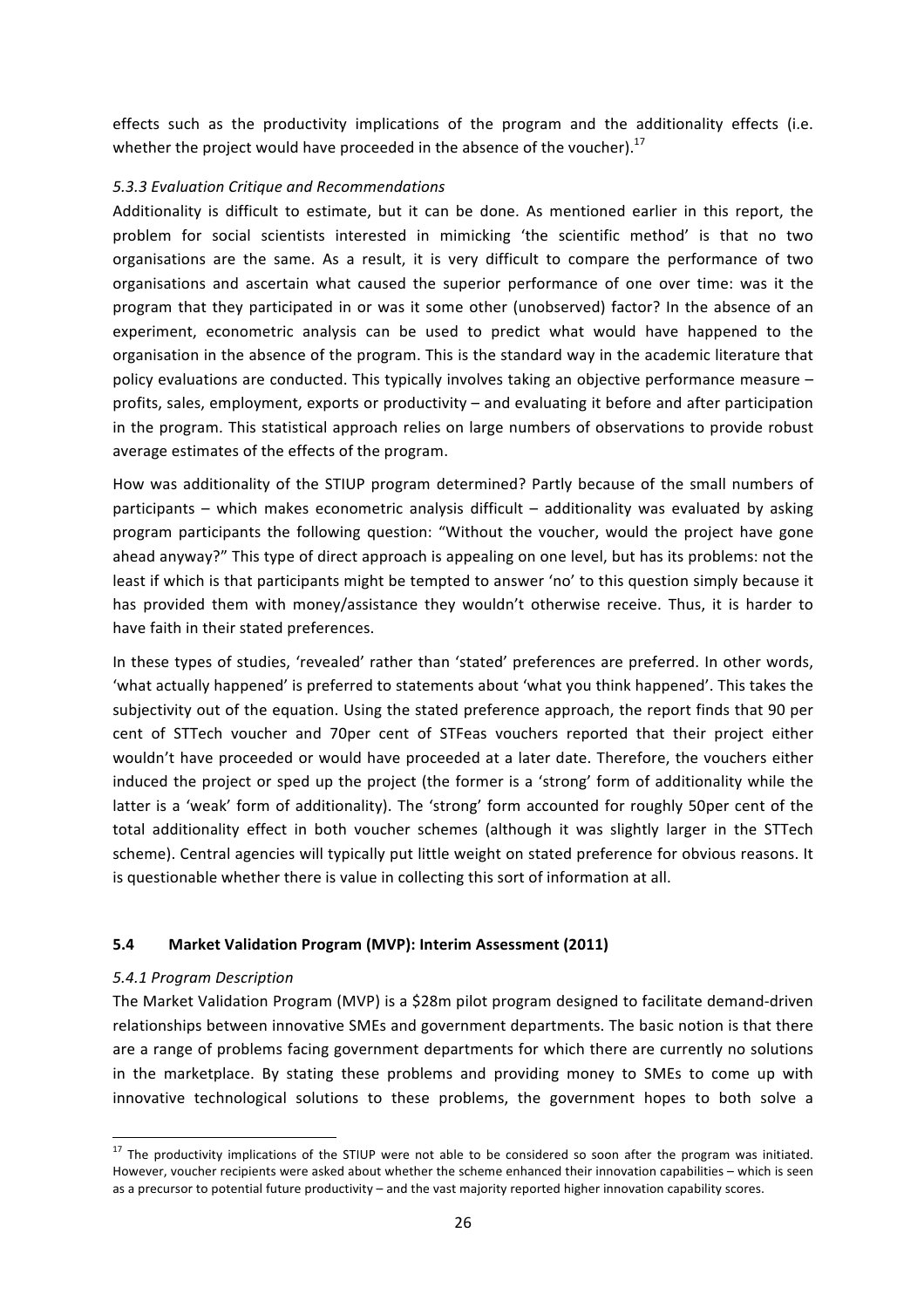effects such as the productivity implications of the program and the additionality effects (i.e. whether the project would have proceeded in the absence of the voucher).<sup>17</sup>

#### *5.3.3 Evaluation Critique and Recommendations*

Additionality is difficult to estimate, but it can be done. As mentioned earlier in this report, the problem for social scientists interested in mimicking 'the scientific method' is that no two organisations are the same. As a result, it is very difficult to compare the performance of two organisations and ascertain what caused the superior performance of one over time: was it the program that they participated in or was it some other (unobserved) factor? In the absence of an experiment, econometric analysis can be used to predict what would have happened to the organisation in the absence of the program. This is the standard way in the academic literature that policy evaluations are conducted. This typically involves taking an objective performance measure profits, sales, employment, exports or productivity – and evaluating it before and after participation in the program. This statistical approach relies on large numbers of observations to provide robust average estimates of the effects of the program.

How was additionality of the STIUP program determined? Partly because of the small numbers of participants  $-$  which makes econometric analysis difficult  $-$  additionality was evaluated by asking program participants the following question: "Without the voucher, would the project have gone ahead anyway?" This type of direct approach is appealing on one level, but has its problems: not the least if which is that participants might be tempted to answer 'no' to this question simply because it has provided them with money/assistance they wouldn't otherwise receive. Thus, it is harder to have faith in their stated preferences.

In these types of studies, 'revealed' rather than 'stated' preferences are preferred. In other words, 'what actually happened' is preferred to statements about 'what you think happened'. This takes the subjectivity out of the equation. Using the stated preference approach, the report finds that 90 per cent of STTech voucher and 70per cent of STFeas vouchers reported that their project either wouldn't have proceeded or would have proceeded at a later date. Therefore, the vouchers either induced the project or sped up the project (the former is a 'strong' form of additionality while the latter is a 'weak' form of additionality). The 'strong' form accounted for roughly 50per cent of the total additionality effect in both voucher schemes (although it was slightly larger in the STTech scheme). Central agencies will typically put little weight on stated preference for obvious reasons. It is questionable whether there is value in collecting this sort of information at all.

#### **5.4 Market Validation Program (MVP): Interim Assessment (2011)**

#### *5.4.1 Program Description*

The Market Validation Program (MVP) is a \$28m pilot program designed to facilitate demand-driven relationships between innovative SMEs and government departments. The basic notion is that there are a range of problems facing government departments for which there are currently no solutions in the marketplace. By stating these problems and providing money to SMEs to come up with innovative technological solutions to these problems, the government hopes to both solve a

 $17$  The productivity implications of the STIUP were not able to be considered so soon after the program was initiated. However, voucher recipients were asked about whether the scheme enhanced their innovation capabilities – which is seen as a precursor to potential future productivity – and the vast majority reported higher innovation capability scores.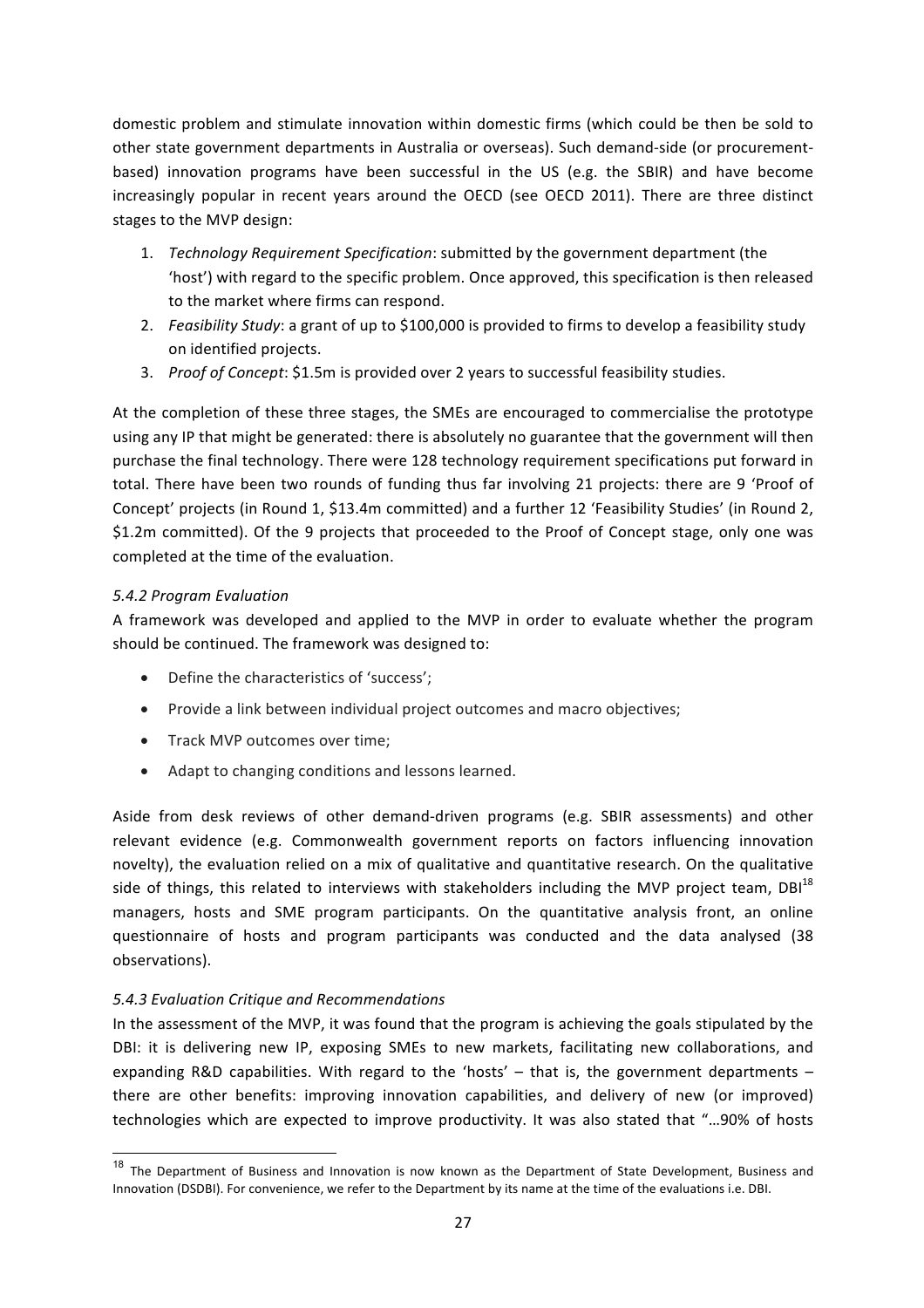domestic problem and stimulate innovation within domestic firms (which could be then be sold to other state government departments in Australia or overseas). Such demand-side (or procurementbased) innovation programs have been successful in the US (e.g. the SBIR) and have become increasingly popular in recent years around the OECD (see OECD 2011). There are three distinct stages to the MVP design:

- 1. *Technology Requirement Specification*: submitted by the government department (the 'host') with regard to the specific problem. Once approved, this specification is then released to the market where firms can respond.
- 2. *Feasibility Study*: a grant of up to \$100,000 is provided to firms to develop a feasibility study on identified projects.
- 3. *Proof of Concept*: \$1.5m is provided over 2 years to successful feasibility studies.

At the completion of these three stages, the SMEs are encouraged to commercialise the prototype using any IP that might be generated: there is absolutely no guarantee that the government will then purchase the final technology. There were 128 technology requirement specifications put forward in total. There have been two rounds of funding thus far involving 21 projects: there are 9 'Proof of Concept' projects (in Round 1, \$13.4m committed) and a further 12 'Feasibility Studies' (in Round 2, \$1.2m committed). Of the 9 projects that proceeded to the Proof of Concept stage, only one was completed at the time of the evaluation.

# *5.4.2 Program Evaluation*

A framework was developed and applied to the MVP in order to evaluate whether the program should be continued. The framework was designed to:

- Define the characteristics of 'success';
- Provide a link between individual project outcomes and macro objectives;
- Track MVP outcomes over time;
- Adapt to changing conditions and lessons learned.

Aside from desk reviews of other demand-driven programs (e.g. SBIR assessments) and other relevant evidence (e.g. Commonwealth government reports on factors influencing innovation novelty), the evaluation relied on a mix of qualitative and quantitative research. On the qualitative side of things, this related to interviews with stakeholders including the MVP project team,  $DBI<sup>18</sup>$ managers, hosts and SME program participants. On the quantitative analysis front, an online questionnaire of hosts and program participants was conducted and the data analysed (38) observations). 

# *5.4.3 Evaluation Critique and Recommendations*

In the assessment of the MVP, it was found that the program is achieving the goals stipulated by the DBI: it is delivering new IP, exposing SMEs to new markets, facilitating new collaborations, and expanding R&D capabilities. With regard to the 'hosts'  $-$  that is, the government departments  $$ there are other benefits: improving innovation capabilities, and delivery of new (or improved) technologies which are expected to improve productivity. It was also stated that "...90% of hosts

 $18$  The Department of Business and Innovation is now known as the Department of State Development, Business and Innovation (DSDBI). For convenience, we refer to the Department by its name at the time of the evaluations i.e. DBI.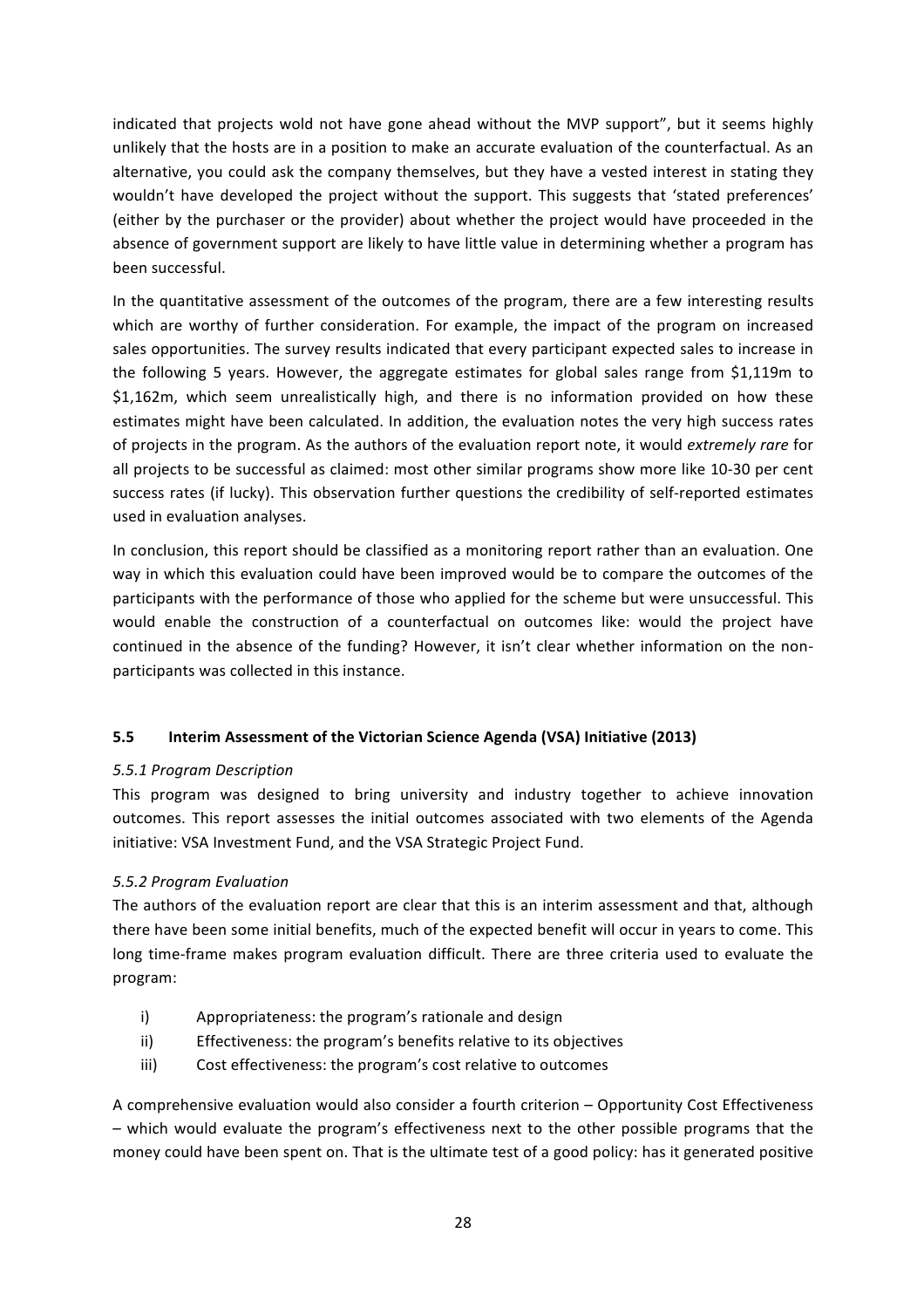indicated that projects wold not have gone ahead without the MVP support", but it seems highly unlikely that the hosts are in a position to make an accurate evaluation of the counterfactual. As an alternative, you could ask the company themselves, but they have a vested interest in stating they wouldn't have developed the project without the support. This suggests that 'stated preferences' (either by the purchaser or the provider) about whether the project would have proceeded in the absence of government support are likely to have little value in determining whether a program has been successful.

In the quantitative assessment of the outcomes of the program, there are a few interesting results which are worthy of further consideration. For example, the impact of the program on increased sales opportunities. The survey results indicated that every participant expected sales to increase in the following 5 years. However, the aggregate estimates for global sales range from \$1,119m to \$1,162m, which seem unrealistically high, and there is no information provided on how these estimates might have been calculated. In addition, the evaluation notes the very high success rates of projects in the program. As the authors of the evaluation report note, it would extremely rare for all projects to be successful as claimed: most other similar programs show more like 10-30 per cent success rates (if lucky). This observation further questions the credibility of self-reported estimates used in evaluation analyses.

In conclusion, this report should be classified as a monitoring report rather than an evaluation. One way in which this evaluation could have been improved would be to compare the outcomes of the participants with the performance of those who applied for the scheme but were unsuccessful. This would enable the construction of a counterfactual on outcomes like: would the project have continued in the absence of the funding? However, it isn't clear whether information on the nonparticipants was collected in this instance.

# **5.5** Interim Assessment of the Victorian Science Agenda (VSA) Initiative (2013)

# *5.5.1 Program Description*

This program was designed to bring university and industry together to achieve innovation outcomes. This report assesses the initial outcomes associated with two elements of the Agenda initiative: VSA Investment Fund, and the VSA Strategic Project Fund.

# *5.5.2 Program Evaluation*

The authors of the evaluation report are clear that this is an interim assessment and that, although there have been some initial benefits, much of the expected benefit will occur in years to come. This long time-frame makes program evaluation difficult. There are three criteria used to evaluate the program:

- i) Appropriateness: the program's rationale and design
- ii) Effectiveness: the program's benefits relative to its objectives
- iii) Cost effectiveness: the program's cost relative to outcomes

A comprehensive evaluation would also consider a fourth criterion – Opportunity Cost Effectiveness - which would evaluate the program's effectiveness next to the other possible programs that the money could have been spent on. That is the ultimate test of a good policy: has it generated positive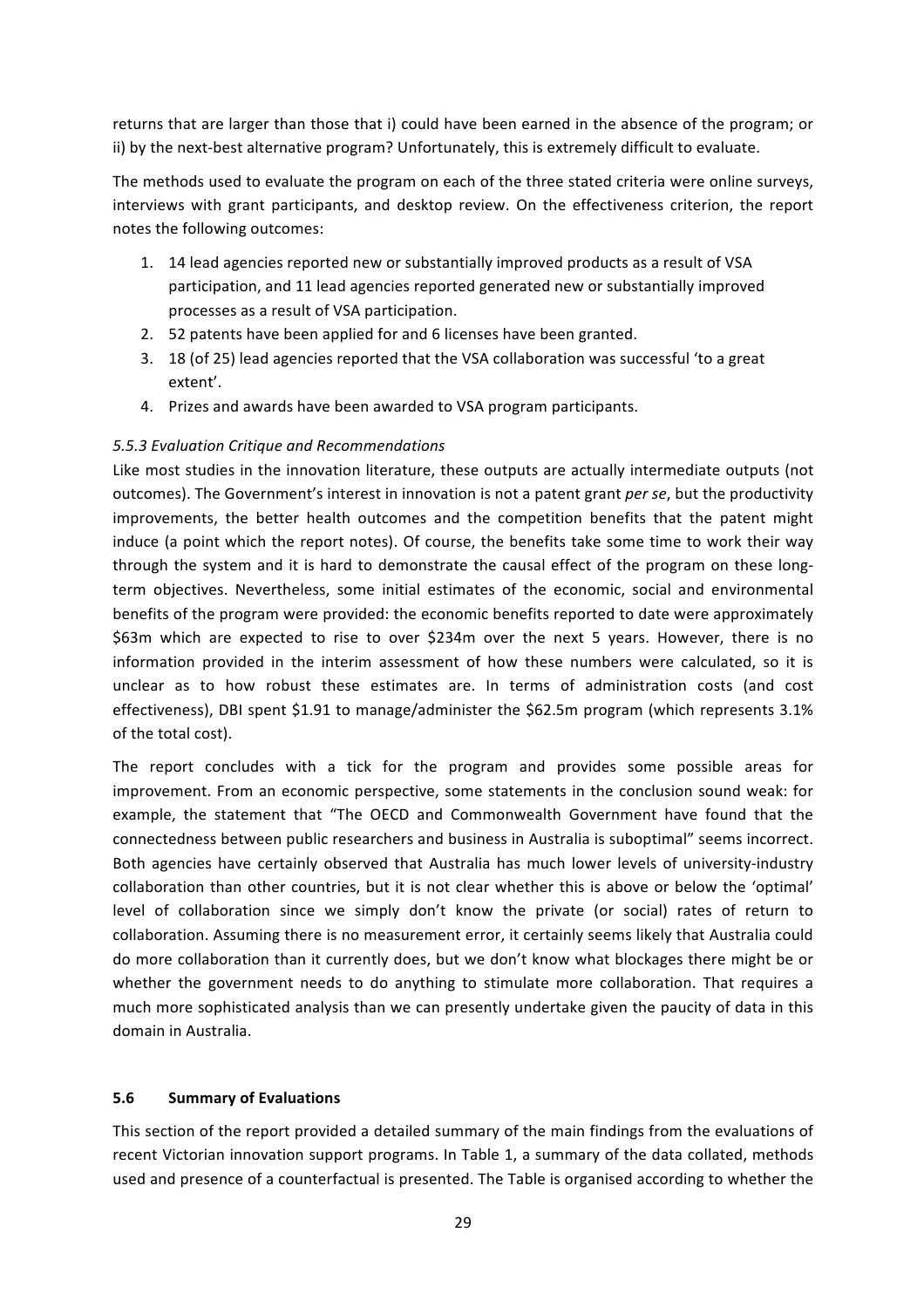returns that are larger than those that i) could have been earned in the absence of the program; or ii) by the next-best alternative program? Unfortunately, this is extremely difficult to evaluate.

The methods used to evaluate the program on each of the three stated criteria were online surveys, interviews with grant participants, and desktop review. On the effectiveness criterion, the report notes the following outcomes:

- 1. 14 lead agencies reported new or substantially improved products as a result of VSA participation, and 11 lead agencies reported generated new or substantially improved processes as a result of VSA participation.
- 2. 52 patents have been applied for and 6 licenses have been granted.
- 3. 18 (of 25) lead agencies reported that the VSA collaboration was successful 'to a great extent'.
- 4. Prizes and awards have been awarded to VSA program participants.

#### *5.5.3 Evaluation Critique and Recommendations*

Like most studies in the innovation literature, these outputs are actually intermediate outputs (not outcomes). The Government's interest in innovation is not a patent grant *per se*, but the productivity improvements, the better health outcomes and the competition benefits that the patent might induce (a point which the report notes). Of course, the benefits take some time to work their way through the system and it is hard to demonstrate the causal effect of the program on these longterm objectives. Nevertheless, some initial estimates of the economic, social and environmental benefits of the program were provided: the economic benefits reported to date were approximately \$63m which are expected to rise to over \$234m over the next 5 years. However, there is no information provided in the interim assessment of how these numbers were calculated, so it is unclear as to how robust these estimates are. In terms of administration costs (and cost effectiveness), DBI spent \$1.91 to manage/administer the \$62.5m program (which represents 3.1% of the total cost).

The report concludes with a tick for the program and provides some possible areas for improvement. From an economic perspective, some statements in the conclusion sound weak: for example, the statement that "The OECD and Commonwealth Government have found that the connectedness between public researchers and business in Australia is suboptimal" seems incorrect. Both agencies have certainly observed that Australia has much lower levels of university-industry collaboration than other countries, but it is not clear whether this is above or below the 'optimal' level of collaboration since we simply don't know the private (or social) rates of return to collaboration. Assuming there is no measurement error, it certainly seems likely that Australia could do more collaboration than it currently does, but we don't know what blockages there might be or whether the government needs to do anything to stimulate more collaboration. That requires a much more sophisticated analysis than we can presently undertake given the paucity of data in this domain in Australia. 

#### **5.6 Summary of Evaluations**

This section of the report provided a detailed summary of the main findings from the evaluations of recent Victorian innovation support programs. In Table 1, a summary of the data collated, methods used and presence of a counterfactual is presented. The Table is organised according to whether the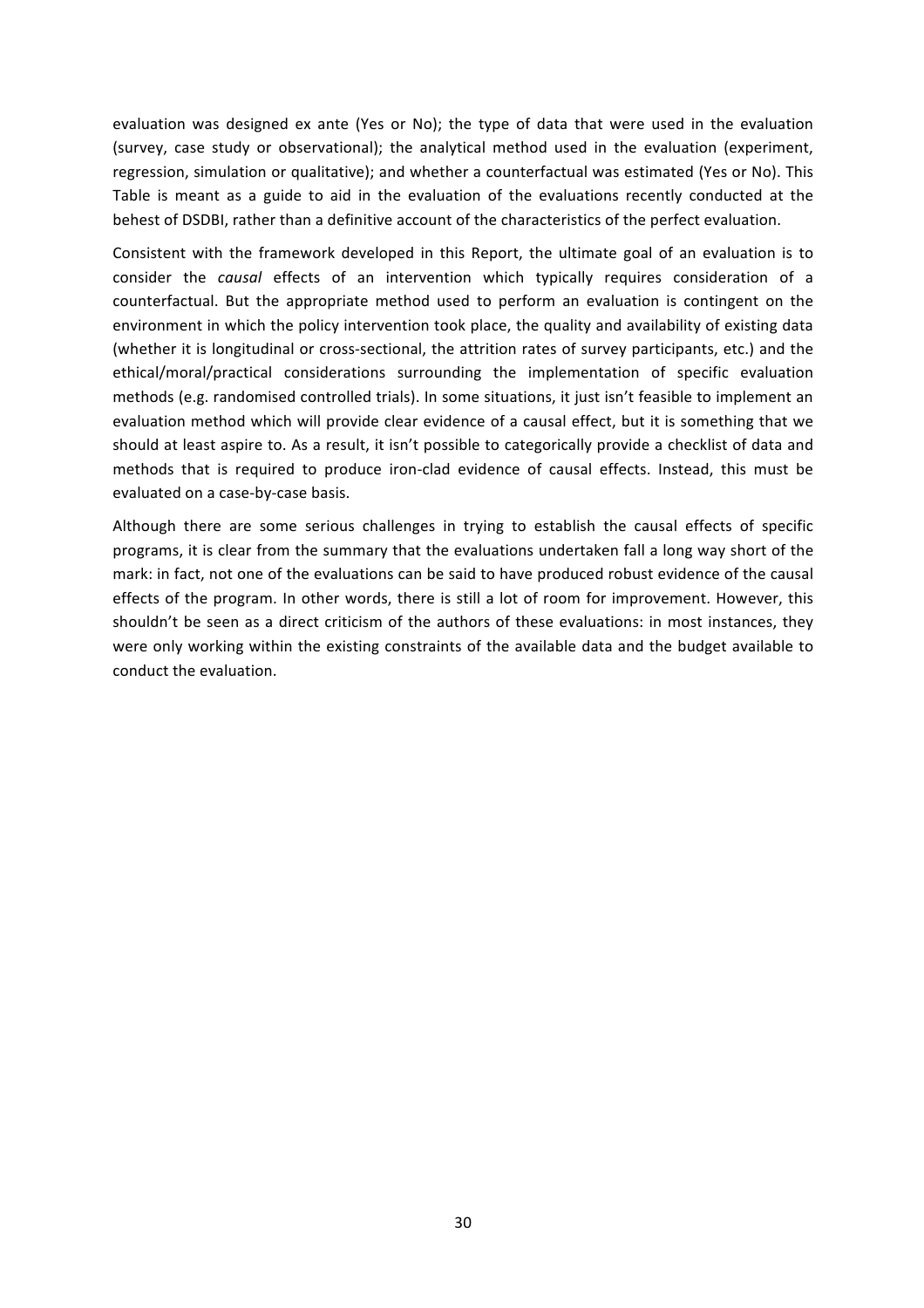evaluation was designed ex ante (Yes or No); the type of data that were used in the evaluation (survey, case study or observational); the analytical method used in the evaluation (experiment, regression, simulation or qualitative); and whether a counterfactual was estimated (Yes or No). This Table is meant as a guide to aid in the evaluation of the evaluations recently conducted at the behest of DSDBI, rather than a definitive account of the characteristics of the perfect evaluation.

Consistent with the framework developed in this Report, the ultimate goal of an evaluation is to consider the *causal* effects of an intervention which typically requires consideration of a counterfactual. But the appropriate method used to perform an evaluation is contingent on the environment in which the policy intervention took place, the quality and availability of existing data (whether it is longitudinal or cross-sectional, the attrition rates of survey participants, etc.) and the ethical/moral/practical considerations surrounding the implementation of specific evaluation methods (e.g. randomised controlled trials). In some situations, it just isn't feasible to implement an evaluation method which will provide clear evidence of a causal effect, but it is something that we should at least aspire to. As a result, it isn't possible to categorically provide a checklist of data and methods that is required to produce iron-clad evidence of causal effects. Instead, this must be evaluated on a case-by-case basis.

Although there are some serious challenges in trying to establish the causal effects of specific programs, it is clear from the summary that the evaluations undertaken fall a long way short of the mark: in fact, not one of the evaluations can be said to have produced robust evidence of the causal effects of the program. In other words, there is still a lot of room for improvement. However, this shouldn't be seen as a direct criticism of the authors of these evaluations: in most instances, they were only working within the existing constraints of the available data and the budget available to conduct the evaluation.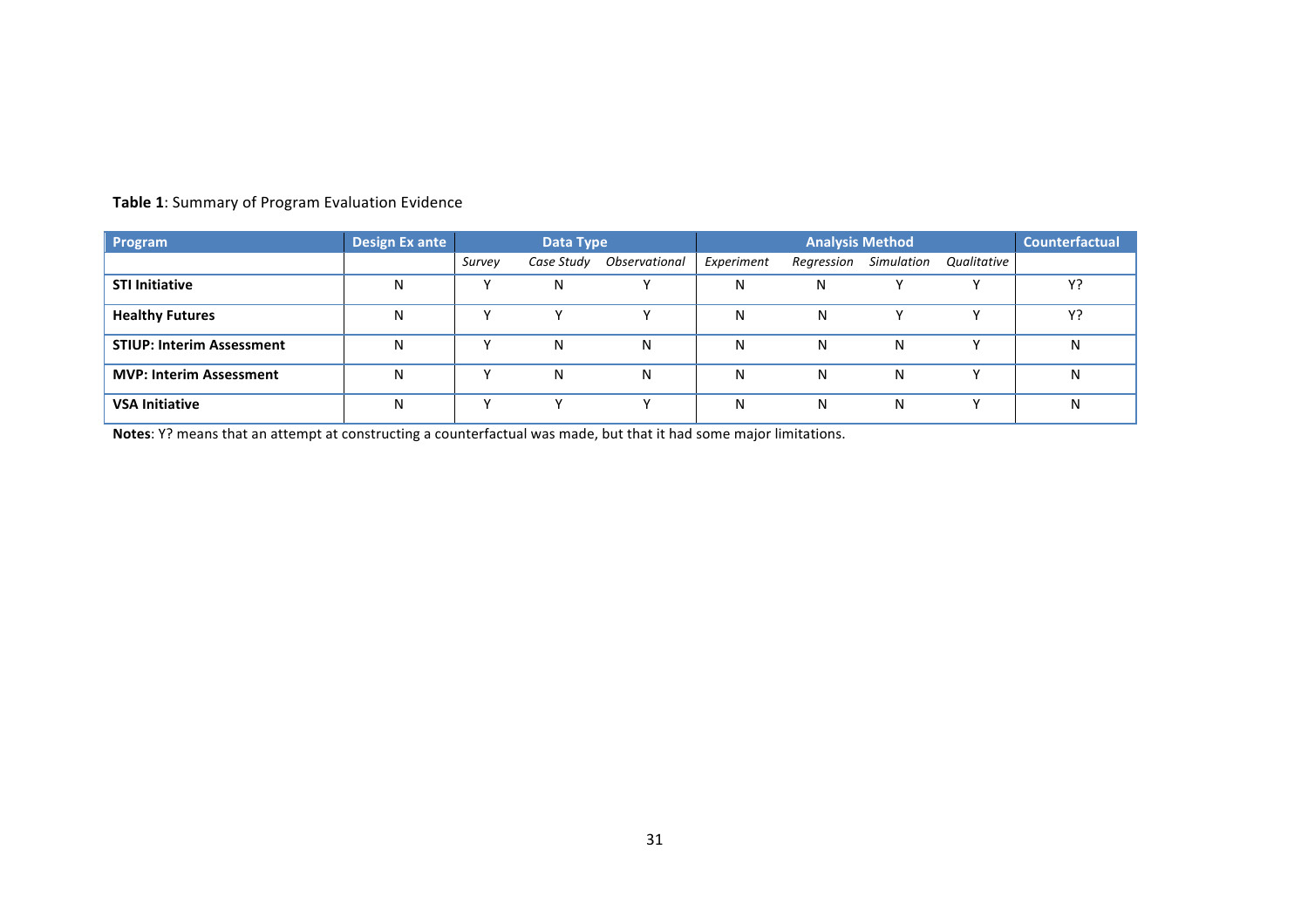| Program                          | <b>Design Ex ante</b> | Data Type |            |               | <b>Analysis Method</b> |            |            |             | <b>Counterfactual</b> |
|----------------------------------|-----------------------|-----------|------------|---------------|------------------------|------------|------------|-------------|-----------------------|
|                                  |                       | Survey    | Case Study | Observational | Experiment             | Regression | Simulation | Qualitative |                       |
| <b>STI Initiative</b>            | N                     |           | N          |               | N                      | Ν          |            |             | Y?                    |
| <b>Healthy Futures</b>           | N                     |           |            |               | N                      | N          |            |             | Y?                    |
| <b>STIUP: Interim Assessment</b> | N                     |           | N          | N             | N                      | N          | N          |             | N                     |
| <b>MVP: Interim Assessment</b>   | N                     |           | Ν          | N             | N                      | N          | N          |             | N                     |
| <b>VSA Initiative</b>            | N                     |           |            |               | N                      | N          | N          |             | N                     |

# **Table 1**: Summary of Program Evaluation Evidence

**Notes**: Y? means that an attempt at constructing a counterfactual was made, but that it had some major limitations.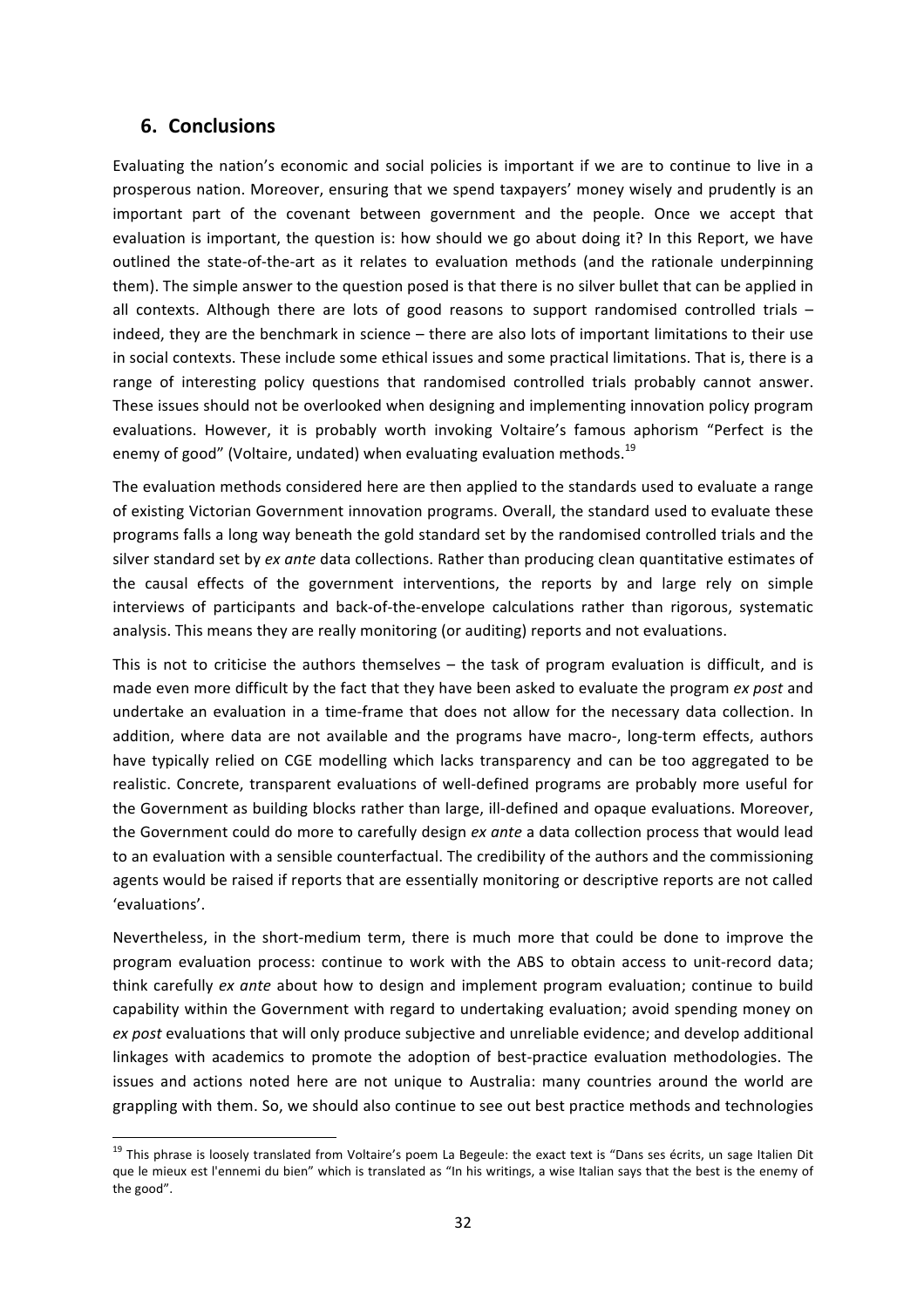# **6. Conclusions**

Evaluating the nation's economic and social policies is important if we are to continue to live in a prosperous nation. Moreover, ensuring that we spend taxpayers' money wisely and prudently is an important part of the covenant between government and the people. Once we accept that evaluation is important, the question is: how should we go about doing it? In this Report, we have outlined the state-of-the-art as it relates to evaluation methods (and the rationale underpinning them). The simple answer to the question posed is that there is no silver bullet that can be applied in all contexts. Although there are lots of good reasons to support randomised controlled trials  $$ indeed, they are the benchmark in science – there are also lots of important limitations to their use in social contexts. These include some ethical issues and some practical limitations. That is, there is a range of interesting policy questions that randomised controlled trials probably cannot answer. These issues should not be overlooked when designing and implementing innovation policy program evaluations. However, it is probably worth invoking Voltaire's famous aphorism "Perfect is the enemy of good" (Voltaire, undated) when evaluating evaluation methods. $^{19}$ 

The evaluation methods considered here are then applied to the standards used to evaluate a range of existing Victorian Government innovation programs. Overall, the standard used to evaluate these programs falls a long way beneath the gold standard set by the randomised controlled trials and the silver standard set by *ex ante* data collections. Rather than producing clean quantitative estimates of the causal effects of the government interventions, the reports by and large rely on simple interviews of participants and back-of-the-envelope calculations rather than rigorous, systematic analysis. This means they are really monitoring (or auditing) reports and not evaluations.

This is not to criticise the authors themselves  $-$  the task of program evaluation is difficult, and is made even more difficult by the fact that they have been asked to evaluate the program *ex post* and undertake an evaluation in a time-frame that does not allow for the necessary data collection. In addition, where data are not available and the programs have macro-, long-term effects, authors have typically relied on CGE modelling which lacks transparency and can be too aggregated to be realistic. Concrete, transparent evaluations of well-defined programs are probably more useful for the Government as building blocks rather than large, ill-defined and opaque evaluations. Moreover, the Government could do more to carefully design *ex ante* a data collection process that would lead to an evaluation with a sensible counterfactual. The credibility of the authors and the commissioning agents would be raised if reports that are essentially monitoring or descriptive reports are not called 'evaluations'.

Nevertheless, in the short-medium term, there is much more that could be done to improve the program evaluation process: continue to work with the ABS to obtain access to unit-record data; think carefully *ex ante* about how to design and implement program evaluation; continue to build capability within the Government with regard to undertaking evaluation; avoid spending money on ex post evaluations that will only produce subjective and unreliable evidence; and develop additional linkages with academics to promote the adoption of best-practice evaluation methodologies. The issues and actions noted here are not unique to Australia: many countries around the world are grappling with them. So, we should also continue to see out best practice methods and technologies

<sup>&</sup>lt;sup>19</sup> This phrase is loosely translated from Voltaire's poem La Begeule: the exact text is "Dans ses écrits, un sage Italien Dit que le mieux est l'ennemi du bien" which is translated as "In his writings, a wise Italian says that the best is the enemy of the good".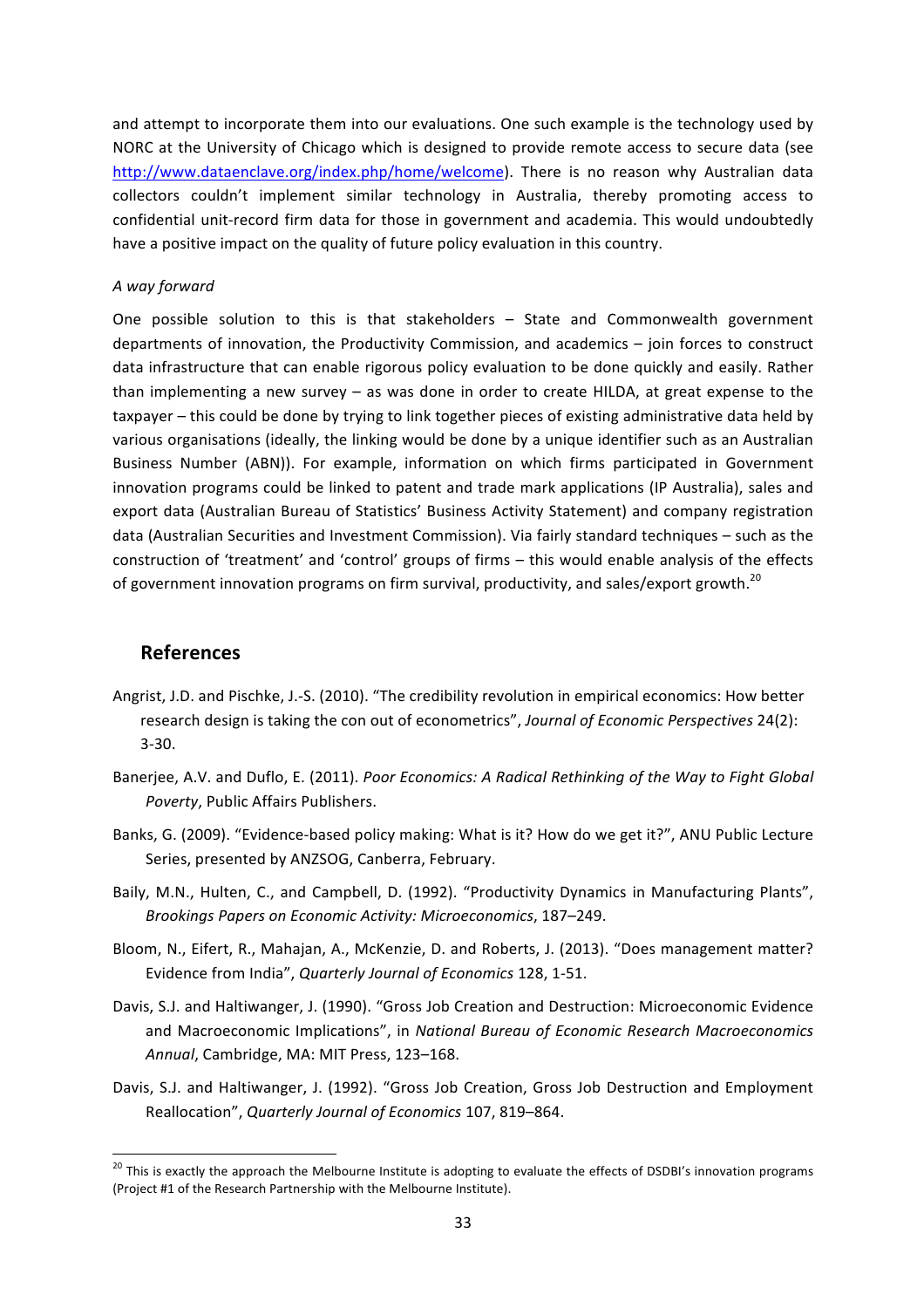and attempt to incorporate them into our evaluations. One such example is the technology used by NORC at the University of Chicago which is designed to provide remote access to secure data (see http://www.dataenclave.org/index.php/home/welcome). There is no reason why Australian data collectors couldn't implement similar technology in Australia, thereby promoting access to confidential unit-record firm data for those in government and academia. This would undoubtedly have a positive impact on the quality of future policy evaluation in this country.

#### *A way forward*

One possible solution to this is that stakeholders - State and Commonwealth government departments of innovation, the Productivity Commission, and academics  $-$  join forces to construct data infrastructure that can enable rigorous policy evaluation to be done quickly and easily. Rather than implementing a new survey  $-$  as was done in order to create HILDA, at great expense to the taxpayer – this could be done by trying to link together pieces of existing administrative data held by various organisations (ideally, the linking would be done by a unique identifier such as an Australian Business Number (ABN)). For example, information on which firms participated in Government innovation programs could be linked to patent and trade mark applications (IP Australia), sales and export data (Australian Bureau of Statistics' Business Activity Statement) and company registration data (Australian Securities and Investment Commission). Via fairly standard techniques – such as the construction of 'treatment' and 'control' groups of firms – this would enable analysis of the effects of government innovation programs on firm survival, productivity, and sales/export growth.<sup>20</sup>

#### **References**

- Angrist, J.D. and Pischke, J.-S. (2010). "The credibility revolution in empirical economics: How better research design is taking the con out of econometrics", *Journal of Economic Perspectives* 24(2): 3-30.
- Banerjee, A.V. and Duflo, E. (2011). *Poor Economics: A Radical Rethinking of the Way to Fight Global* Poverty, Public Affairs Publishers.
- Banks, G. (2009). "Evidence-based policy making: What is it? How do we get it?", ANU Public Lecture Series, presented by ANZSOG, Canberra, February.
- Baily, M.N., Hulten, C., and Campbell, D. (1992). "Productivity Dynamics in Manufacturing Plants", *Brookings Papers on Economic Activity: Microeconomics*, 187–249.
- Bloom, N., Eifert, R., Mahajan, A., McKenzie, D. and Roberts, J. (2013). "Does management matter? Evidence from India", *Quarterly Journal of Economics* 128, 1-51.
- Davis, S.J. and Haltiwanger, J. (1990). "Gross Job Creation and Destruction: Microeconomic Evidence and Macroeconomic Implications", in *National Bureau of Economic Research Macroeconomics* Annual, Cambridge, MA: MIT Press, 123-168.
- Davis, S.J. and Haltiwanger, J. (1992). "Gross Job Creation, Gross Job Destruction and Employment Reallocation", Quarterly Journal of Economics 107, 819-864.

 $20$  This is exactly the approach the Melbourne Institute is adopting to evaluate the effects of DSDBI's innovation programs (Project #1 of the Research Partnership with the Melbourne Institute).